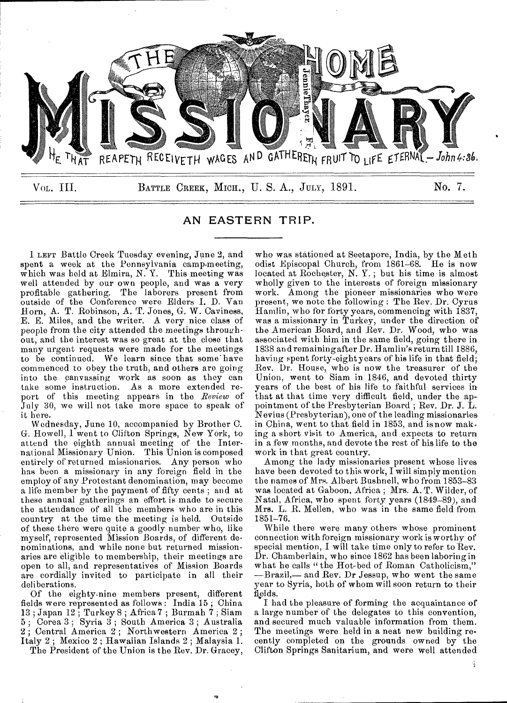

AN EASTERN TRIP.

I LEFT Battle Creek Tuesday evening, June 2, and spent a week at the Pennsylvania camp-meeting, which was hold at Elmira, N. Y. This meeting was well attended by our own people, and was a very profitable gathering. The laborers present from outside of the Conference were Elders I. D. Van Horn, A. T. Robinson, A. T. Jones, G. W. Caviness, E. E. Miles, and the writer. A very nice class of people from the city attended the meetings throughout, and the interest was so great at the close that many urgent requests were made for the meetings to be continued. We learn since that some' have commenced to obey the truth, and others aro going into the canvassing work as soon as they can take some instruction. As a more extended report of this meeting appears in the *Review* of July 30, we will not take more space to speak of it here.

Wednesday, June 10, accompanied by Brother C. G. Howell, I went to Clifton Springs, New York, to attend the eighth annual meeting of the International Missionary Union. This Union is composed entirely of returned missionaries. Any person who has been a missionary in any foreign field in the employ of any Protestant denomination, may become a life member by the payment of fifty cents ; and at these annual gatherings an effort is made to secure the attendance of all the members who are in this country at the time the meeting is held. Outside of these there were quite a goodly number who, like myself, represented Mission Boards, of different denominations, and while none but returned missionaries are eligible to membership, their meetings are open to all, and representatives of Mission Boards are cordially invited to participate in all their deliberations.

Of the eighty-nine members present, different fields were represented as follows : India 15 ; China 13 ; Japan 12 ; Turkey 8 ; Africa 7 ; Burmah 7 ; Siam 5 ; Corea 3 ; Syria 3 ; South America 3 ; Australia 2 ; Central America 2 ; Northwestern America 2 ; Italy 2 ; Mexico 2 ; Hawaiian Islands 2 ; Malaysia 1.

The President of the Union is the Rev. Dr. Gracey,

who was stationed at Seetapore, India, by the Meth odist Episcopal Church, from 1861-68. He is now located at Rochester, N. Y.; but his time is almost wholly given to the interests of foreign missionary work. Among the pioneer missionaries who were present, we note the following : The Rev. Dr. Cyrus Hamlin, who for forty years, commencing with 1837, was a missionary in Turkey, under the direction of the American Board, and Rev. Dr. Wood, who was associated with him in the same field, going there in 1838 and remaining after Dr. Hamlin's return till 1886, having spent forty-eight years of his life in that field; Rev. Dr. House, who is now the treasurer of the Union, went to Siam in 1846, and devoted thirty years of the best of his life to faithful services in that at that time very difficult field, under the appointment of the Presbyterian Board ; Rev. Dr. J. L. Nevins (Presbyterian), one of the leading missionaries in China, went to that field in 1853, and is now making a short visit to America, and expects to return in a few months, and devote the rest of his life to the work in that great country.

Among the lady missionaries present whose lives have been devoted to this work, I will simply mention the names of Mrs. Albert Bushnell, who from 1853-83 was located at Gaboon, Africa ; Mrs. A. T. Wilder, of Natal, Africa, who spent forty years (1849-89), and Mrs. L. R. Mellen, who was in the same field from 1851-76.

While there were many others whose prominent connection with foreign missionary work is worthy of special mention, I will take time only to refer to Rev. Dr. Chamberlain, who since 1862 has been laboring in what he calls "the Hot-bed of Roman Catholicism," —Brazil,— and Rev. Dr Jessup, who went the same year to Syria, both of whom will soon return to their fields.

I had the pleasure of forming the acquaintance of a large number of the delegates to this convention, and secured much valuable information from them. The meetings were held in a neat new building recently completed on the grounds owned by the Clifton Springs Sanitarium, and were well attended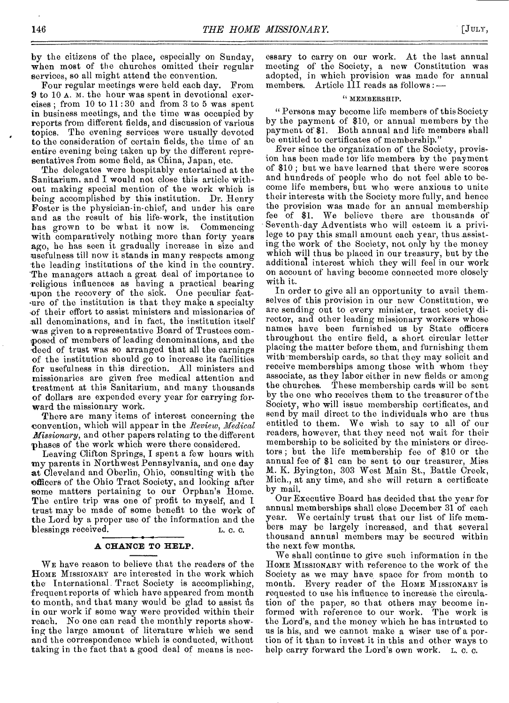by the citizens of the place, especially on Sunday, when most of the churches omitted their regular services, so all might attend the convention.

Four regular meetings were held each day. From 9 to 10 A. M. the hour was spent in devotional exercises ; from 10 to 11 : 30 and from 3 to 5 was spent in business meetings, and the time was occupied by reports from different fields, and discussion of various topics. The evening services were usually devoted to the consideration of certain fields, the time of an entire evening being taken up by the different representatives from some field, as China, Japan, etc.

The delegates were hospitably entertained at the Sanitarium, and I would not close this article without making special mention of the work which is being accomplished by this institution. Dr. Henry Foster is the physician-in-chief, and under his care and as the result of his life-work, the institution has grown to be what it now is. Commencing with comparatively nothing more than forty years ago, he has seen it gradually increase in size and usefulness till now it stands in many respects among the leading institutions of the kind in the country. `The managers attach a great deal of importance to religious influences as having a practical bearing upon the recovery of the sick. One peculiar feature of the institution is that they make a specialty of their effort to assist ministers and missionaries of all denominations, and in fact, the institution itself was given to a representative Board of Trustees composed of members of leading denominations, and the 'deed of trust was so arranged that all the earnings of the institution should go to increase its facilities for usefulness in this direction. All ministers and missionaries are given free medical attention and treatment at this Sanitarium, and many thousands of dollars are expended every year for carrying forward the missionary work.

There are many items of interest concerning the convention, which will appear in the *Review, Medical Missionary,* and other papers relating to the different phases of the work which were there considered.

Leaving Clifton Springs, I spent a few hours with my parents in Northwest Pennsylvania, and one day at Cleveland and Oberlin, Ohio, consulting with the officers of the Ohio Tract Society, and looking after some matters pertaining to our Orphan's Home. The entire trip was one of profit to myself, and I trust may be made of some benefit to the work of the Lord by a proper use of the information and the blessings received. L. c. c.

#### **A CHANCE TO HELP.**

WE have reason to believe that the readers of the HOME MISSIONARY are interested in the work which the International. Tract Society is accomplishing, frequent reports of which have appeared from month to month, and that many would be glad to assist us in our work if some way were provided within their reach. No one can read the monthly reports showing the large amount of literature which we send and the correspondence which is conducted, without taking in the fact that a good deal of means is nec-

essary to carry on our work. At the last annual meeting of the Society, a new Constitution was adopted, in which provision was made for annual members. Article III reads as follows :-

#### " MEMBERSHIP.

" Persons may become life members of this Society by the payment of \$10, or annual members by the payment of \$1. Both annual and life members shall be entitled to certificates of membership."

Ever since the organization of the Society, provision has been made for life members by the payment of \$10 ; but we have learned that there were scores and hundreds of people who do not feel able to become life members, but who were anxious to unite their interests with the Society more fully, and hence the provision was made for an annual membership fee of \$1. We believe there are thousands of Seventh-day Adventists who will esteem it a privilege to pay this small amount each year, thus assisting the work of the Society, not only by the money which will thus be placed in our treasury, but by the additional interest which they will feel in our work on account of having become connected more closely with it.

In order to give all an opportunity to avail themselves of this provision in our new Constitution, we are sending out to every minister, tract society director, and other leading missionary workers whose names have been furnished us by State officers throughout the entire field, a short circular letter placing the matter before them, and furnishing them with -membership cards, so that they may solicit and receive memberships among those with whom they associate, as they labor either in new fields or among the churches. These membership cards will be sent by the one who receives them to the treasurer of the Society, who will issue membership certificates, and send by mail direct to the individuals who are thus entitled to them. We wish to say to all of our readers, however, that they need not wait for their membership to be solicited by the ministers or directors ; but the life membership fee of \$10 or the annual fee of \$1 can be sent to our treasurer, Miss M. K. Byington, 303 West Main St., Battle Creek, Mich., at any time, and she will return a certificate by mail.

Our Executive Board has decided that the year for annual memberships shall close December 31 of each year. We certainly trust that our list of life members may be largely increased, and that several thousand annual members may be secured within the next few months.

We shall continue to give such information in the HOME MISSIONARY with reference to the work of the Society as we may have space for from month to month. Every reader of the HOME MISSIONARY is requested to use his influence to increase the circulation of the paper, so that others may become informed with reference to our work. The work is the Lord's, and the money which he has intrusted to us is his, and we cannot make a wiser use of a portion of it than to invest it in this and other ways to help carry forward the Lord's own work. L. c. c.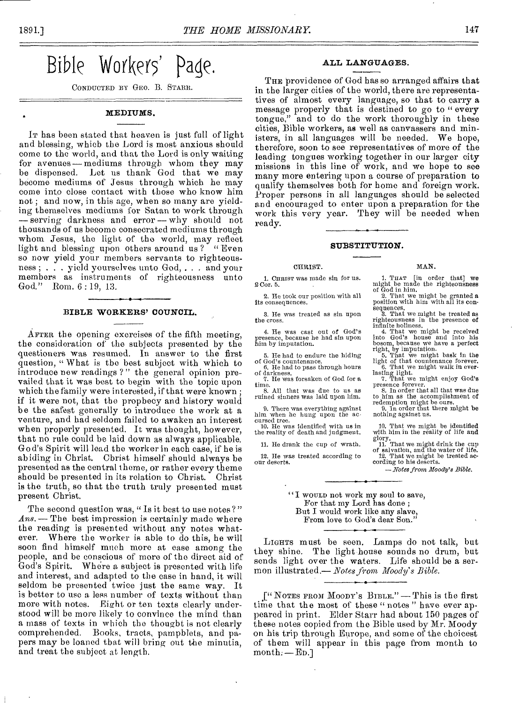Bible Workers' page.

CONDUCTED BY GEO. B. STARR.

#### **MEDIUMS.**

IT has been stated that heaven is just full of light and blessing, which the Lord is most anxious should come to the world, and that the Lord is only waiting for avenues—mediums through whom they may be dispensed. Let us thank God that we may become mediums of Jesus through which he may come into close contact with those who know him not ; and now, in this age, when so many are yielding themselves mediums for Satan to work through - serving darkness and error-why should not thousands of us become consecrated mediums through whom Jesus, the light of the world, may reflect light and blessing upon others around us?" "Even so now yield your members servants to righteousness ; . . . yield yourselves unto God, . . . and your members as instruments of righteousness unto God." Rom.  $6:19, 13$ .

#### **BIBLE WORKERS' COUNCIL.**

AFTER the opening exercises of the fifth meeting, the consideration of the subjects presented by the questioners was resumed. In answer to the first question, " What is the best subject with which to introduce new readings ?" the general opinion prevailed that it was best to begin with the topic upon which the family were interested, if that were known; if it were not, that the prophecy and history would be the safest generally to introduce the work at a venture, and had seldom failed to awaken an interest when properly presented. It was thought, however, that no rule could be laid down as always applicable. God's Spirit will lead the worker in each case, if he is abiding in Christ. Christ himself should always be presented as the central theme, or rather every theme should be presented in its relation to Christ. Christ is the truth, so that the truth truly presented must present Christ.

The second question was, "Is it best to use notes?" *Ans.—* The best impression is certainly made where the reading is presented without any notes whatever. Where the worker is able to do this, he will soon find himself much more at ease among the people, and be conscious of more of the direct aid of God's Spirit. Where a subject is presented with life and interest, and adapted to the case in hand, it will seldom he presented twice just the same way. It is better to use a less number of texts without than more with notes. Eight or ten texts clearly understood will be more likely to convince the mind than a mass of texts in which the thought is not clearly comprehended. Books, tracts, pamphlets, and papers may be loaned that will bring out the minutia, and treat the subject at length.

#### **ALL LANGUAGES.**

**THE** providence of God has so arranged affairs that in the larger cities of the world, there are representatives of almost every language, so that to carry a message properly that is destined to go to " every tongue," and to do the work thoroughly in these cities, Bible workers, as well as canvassers and ministers, in all languages will be needed. We hope, therefore, soon to see representatives of more of the leading tongues working together in our larger city missions in this line of work, and we hope to see many more entering upon a course of preparation to qualify themselves both for home and foreign work. Proper persons in all languages should be selected and encouraged to enter upon a preparation for the work this very year. They will be needed when ready.

#### **SUBSTITUTION.**

#### CHRIST.

1. CHRIST was made sin for us. 2 Cor. 5.

2. He took our position with all its consequences.

**3. He was treated** as sin upon the cross.

**4. He was** cast out of God's presence, **because** he had sin upon him by imputation.

5. He had to endure the biding of God's countenance. 6. He had to pass through hours of darkness.

7. He was **forsaken of** God **for a** 

time. 8. All **that was due to** us as ruined **sinners was laid** upon him.

**9. There was** everything against him when **ho** hung upon the ac-

cursed tree. 10. He was identified with us in the reality of death and judgment.

11. He drank the cup of wrath.

12. He was treated according to our deserts.

I. TuAT [in order that] we might be made the righteousness of God in him. 2. That we might be granted **a**  position with him with all its consequences.<br>3. That 3. That we might be treated as righteousness in the presence **of** 

MAN.

infinite holiness.<br>4. That we might be received<br>into God's house and into his<br>bosom, because we have a perfect<br>right, by imputation.<br>inight of that countenance forever.<br>in the souther of the souther of the souther of the s

lasting light. 7. That we might enjoy God's presence forever.

8. In order that all that was due to him as the accomplishment of redemption might be ours. 9. In order that there might **be** 

nothing against us.

10. That we might be identified with him in the reality of life and

glory. 11. That we might drink the cup of salvation, and the water of life. 12. That we might be treated ac-cording to his deserts.

*—Notes from* Moody's Bible.

"I WOULD not work my soul to save, For that my Lord has done ; But I would work like any slave, From love to God's dear Son."

**LIGHTS** must be seen. Lamps do not talk, but they shine. The light house sounds no drum, but sends light over the waters. Life should be a sermon illustrated.— Notes from Moody's Bible.

[" NOTES FROM MOODY'S BIBLE." — This is the first time that the most of these " notes " have ever appeared in print. Elder Starr had about 150 pages of these notes copied from the Bible used by Mr. Moody on his trip through Europe, and some of the choicest of them will appear in this page from month to  $month. - ED.]$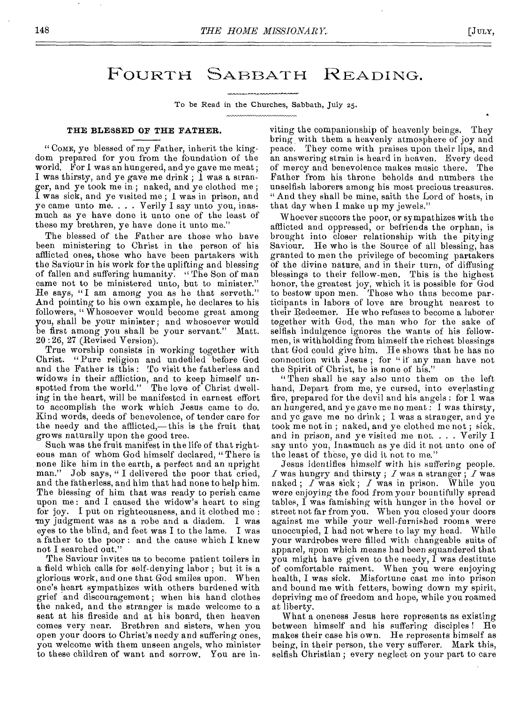## FOURTH SABBATH READING-.

To be Read in the Churches, Sabbath, July a5.

#### **THE BLESSED OF THE FATHER.**

" COME, ye blessed of my Father, inherit the kingdom prepared for you from the foundation of the world. For I was an hungered, and ye gave me meat; I was thirsty, and ye gave me drink ; I was a stranger, and ye took me in ; naked, and ye clothed me ; I was sick, and ye visited me ; I was in prison, and ye came unto me. . . . Verily I say unto you, inasmuch as ye have done it unto one of the least of these my brethren, ye have done it unto me."

The blessed of the Father are those who have been ministering to Christ in the person of his afflicted ones, those who have been partakers with the Saviour in his work for the uplifting and blessing of fallen and suffering humanity. " The Son of man came not to be ministered unto, but to minister." He says, "I am among you as he that serveth." And pointing to his own example, he declares to his followers, " Whosoever would become great among you, shall be your minister; and whosoever would be first among you shall be your servant." Matt. 20 :26, 27 (Revised Version).

True worship consists in working together with Christ. "Pure religion and undefiled before God and the Father is this : To visit the fatherless and widows in their affliction, and to keep himself unspotted from the world." The love of Christ dwelling in the heart, will be manifested in earnest effort to accomplish the work which Jesus came to do. Kind words, deeds of benevolence, of tender care for the needy and the afflicted,—this is the fruit that grows naturally upon the good tree.

Such was the fruit manifest in the life of that righteous man of whom God himself declared, " There is none like him in the earth, a perfect and an upright man." Job says, " I delivered the poor that cried, and the fatherless, and him that had none to help him. The blessing of him that was ready to perish came upon me : and I caused the widow's heart to sing for joy. I put on righteousness, and it clothed me : iny judgment was as a robe and a diadem. I was eyes to the blind, and feet was I to the lame. I was a father to the poor : and the cause which I knew not I searched out."

The Saviour invites us to become patient toilers in a field which calls for self-denying labor ; but it is a glorious work, and one that God smiles upon. When one's heart sympathizes with others burdened with grief and discouragement ; when his hand clothes the naked, and the stranger is made welcome to a seat at his fireside and at his board, then heaven comes very near. Brethren and sisters, when you open your doors to Christ's needy and suffering ones, you welcome with them unseen angels, who minister to these children of want and sorrow. You are inviting the companionship of heavenly beings. They bring, with them a heavenly atmosphere of joy and peace. They come with praises upon their lips, and an answering strain is heard in heaven. Every deed of mercy and benevolence makes music there. The Father from his throne beholds and numbers the unselfish laborers among his most precious treasures. " And they shall be mine, saith the Lord of hosts, in that day when I make up my jewels."

Whoever succors the poor, or sympathizes with the afflicted and oppressed, or befriends the orphan, is brought into closer relationship with the pitying Saviour. He who is the Source of all blessing, has granted to men the privilege of becoming partakers of the divine nature, and in their turn, of diffusing blessings to their fellow-men. This is the highest honor, the greatest joy, which it is possible for God to bestow upon men. Those who thus become participants in labors of love are brought nearest to their Redeemer. He who refuses to become a laborer together with God, the man who for the sake of selfish indulgence ignores the wants of his fellowmen, is withholding from himself the richest blessings that God could give him. He shows that he has no connection with Jesus; for "if any man have not the Spirit of Christ, he is none of his."

"Then shall he say also unto them on the left hand, Depart from me, ye cursed, into everlasting fire, prepared for the devil and his angels: for I was an hungered, and ye gave me no meat : I was thirsty, and ye gave me no drink ; I was a stranger, and ye took me not in ; naked, and ye clothed me not ; sick, and in prison, and ye visited me not. . . . Verily I say unto you, Inasmuch as ye did it not unto one of the least of these, ye did it not to me."

Jesus identifies himself with his suffering people. I was hungry and thirsty ; I was a stranger ; I was naked;  $\overline{I}$  was sick;  $\overline{I}$  was in prison. were enjoying the food from your bountifully spread tables, I was famishing with hunger in the hovel or street not far from you. When you closed your doors against me while your well-furnished rooms were unoccupied, I had not where to lay my head. While your wardrobes were filled with changeable suits of apparel, upon which means had been squandered that you might have given to the needy, I was destitute of comfortable raiment. When you were enjoying health, I was sick. Misfortune cast me into prison and bound me with fetters, bowing down my spirit, depriving me of freedom and hope, while you roamed at liberty.

What a oneness Jesus here represents as existing between himself and his suffering disciples ! He makes their case his own. He represents himself as being, in their person, the very sufferer. Mark this, selfish Christian ; every neglect on your part to care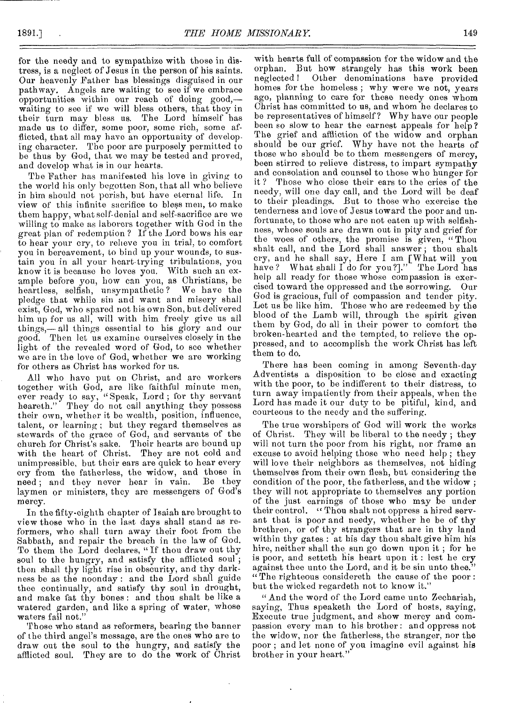for the needy and to sympathize with those in distress, is a neglect of Jesus in the person of his saints. Our heavenly Father has blessings disguised in our pathway. Angels are waiting to see if we embrace opportunities within our reach of doing good, waiting to see if we will bless others, that they in their turn may bless us. The Lord himself has made us to differ, some poor, some rich, some afflicted, that all may have an opportunity of developing character. The poor are purposely permitted to be thus by God, that we may be tested and proved, and develop what is in our hearts.

The Father has manifested his love in giving to the world his only begotten Son, that all who believe in him should not perish, but have eternal life. In view of this infinite sacrifice to bless men, to make them happy, what self-denial and self-sacrifice are we willing to make as laborers together with God in the great plan of redemption ? If the Lord bows his ear to hear your cry, to relieve you in trial, to comfort you in bereavement, to bind up your wounds, to sustain you in all your heart-trying tribulations, you know it is because he loves you. With such an example before you, how can you, as Christians, be heartless, selfish, unsympathetic ? We have the pledge that while sin and want and misery shall exist, God, who spared not his own Son, but delivered him up for us all, will with him freely give us all things,— all things essential to his glory and our good. Then let us examine ourselves closely in the light of the revealed word of God, to see whether we are in the love of God, whether we are working for others as Christ has worked for us.

All who have put on Christ, and are workers together with God, are like faithful minute men, ever ready to say, "Speak, Lord; for thy servant heareth." They do not call anything they possess their own, whether it be wealth, position, influence, talent, or learning ; but they regard themselves as stewards of the grace of God, and servants of the church for Christ's sake. Their hearts are bound up with the heart of Christ. They are not cold and unimpressible, but their ears are quick to hear every ery from the fatherless, the widow, and those in<br>need; and they never hear in vain. Be they need; and they never hear in vain. laymen or ministers, they are messengers of God's mercy.

In the fifty-eighth chapter of Isaiah are brought to view those who in the last days shall stand as reformers, who shall turn away their foot from the Sabbath, and repair the breach in the law of God. To them the Lord declares, "If thou draw out thy soul to the hungry, and satisfy the afflicted soul ; then shall thy light rise in obscurity, and thy darkness be as the noonday : and the Lord shall guide thee continually, and satisfy thy soul in drought, and make fat thy bones : and thou shalt be like a watered garden, and like a spring of water, whose waters fail not."

Those who stand as reformers, bearing the banner of the third angel's message, are the ones who are to draw out the soul to the hungry, and satisfy the afflicted soul. They are to do the work of Christ

with hearts full of compassion for the widow and the orphan. But how strangely has this work been Other denominations have provided homes for the homeless; why were we not, years ago, planning to care for these needy ones whom Christ has committed to us, and whom he declares to be representatives of himself? Why have our people been so slow to hear the earnest appeals for help? The grief and affliction of the widow and orphan should be our grief. Why have not the hearts of those who should be to them messengers of mercy, been stirred to relieve distress, to impart sympathy and consolation and counsel to those who hunger for it ? Those who close their ears to the cries of the needy, will one day call, and the Lord will be deaf to their pleadings. But to those who exercise the tenderness and love of Jesus toward the poor and unfortunate, to those who are not eaten up with selfishness, whose souls are drawn out in pity and grief for the woes of others, the promise is given, "Thou shalt call, and the Lord shall answer; thou shalt cry, and he shall say, Here I am [What will you have? What shall I do for you?]." The Lord has help all ready for those whose compassion is exercised toward the oppressed and the sorrowing. Our God is gracious, full of compassion and tender pity. Let us be like him. Those who are redeemed by the blood of the Lamb will, through the spirit given them by God, do all in their power to comfort the broken-hearted and the tempted, to relieve the oppressed, and to accomplish the work Christ has left them to do.

There has been coming in among Seventh-day Adventists a disposition to be close and exacting with the poor, to be indifferent to their distress, to turn away impatiently from their appeals, when the Lord has made it our duty to be pitiful, kind, and courteous to the needy and the suffering.

The true worshipers of God will work the works of Christ. They will be liberal to the needy ; they will not turn the poor from his right, nor frame an excuse to avoid helping those who need help ; they will love their neighbors as themselves, not hiding themselves from their own flesh, but considering the condition of the poor, the fatherless, and the widow ; they will not appropriate to themselves any portion of the just earnings of those who may be under their control. "Thou shalt not oppress a hired servant that is poor and needy, whether he be of thy brethren, or of thy strangers that are in thy land within thy gates : at his day thou shalt give him his hire, neither shall the sun go down upon it ; for he is poor, and setteth his heart upon it : lest he cry against thee unto the Lord, and it be sin unto thee." " The righteous considereth the cause of the poor : but the wicked regardeth not to know it."

"And the word of the Lord came unto Zechariah, saying, Thus speaketh the Lord of hosts, saying, Execute true judgment, and show mercy and compassion every man to his brother: and oppress not the widow, nor the fatherless, the stranger, nor the poor ; and let none of you imagine evil against his brother in your heart."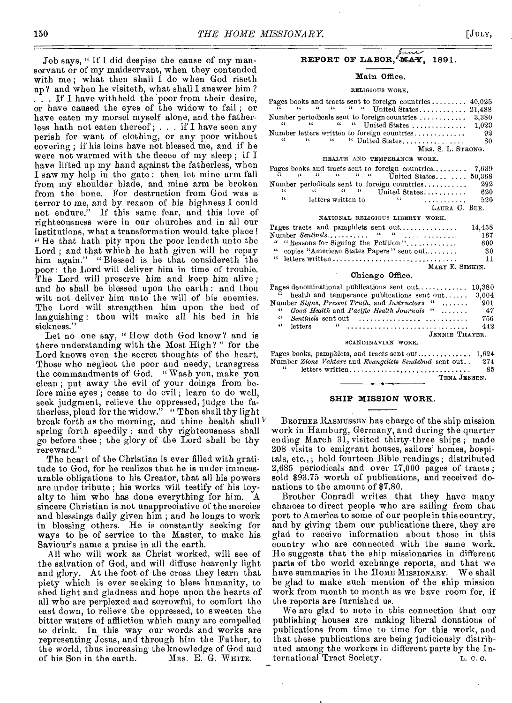150 *THE HOME MISSIONARY.* [JULY,

Job says, " If I did despise the cause of my manservant or of my maidservant, when they contended with me ; what then shall I do when God riseth up? and when he visiteth, what shall 1 answer him ? . . . If I have withheld the poor from their desire, or have caused the eyes of the widow to fail ; or have eaten my morsel myself alone, and the fatherless hath not eaten thereof ; . . . if I have seen any perish for want of clothing, or any poor without covering ; if his loins have not blessed me, and if he were not warmed with the fleece of my sleep ; if I have lifted up my hand against the fatherless, when I saw my help in the gate : then let mine arm fall from my shoulder blade, and mine arm be broken from the bone. For destruction from God was a terror to me, and by reason, of his highness I could not endure." If this same fear, and this love of righteousness were in our churches and in all our institutions, what a transformation would take place !  $H$  He that hath pity upon the poor lendeth unto the Lord ; and that  $\mathbf{\bar{w}}$  hich he hath given will he repay him again." " Blessed is he that considereth the poor : the Lord will deliver him in time of trouble. The Lord will preserve him and keep him alive ; and he shall be blessed upon the earth : and thou wilt not deliver him unto the will of his enemies. The Lord will strengthen him upon the bed of languishing : thou wilt make all his bed in his sickness."

Let no one say, " How doth God know? and is there understanding with the Most High? " for the Lord knows even the secret thoughts of the heart. Those who neglect the poor and needy, transgress the commandments of God. " Wash you, make you clean ; put away the evil of your doings from before mine eyes ; cease to do evil ; learn to do well, seek judgment, relieve the oppressed, judge the fatherless, plead for the widow." " Then shall thy light break forth as the morning, and thine health shall spring forth speedily : and thy righteousness shall go before thee ; the glory of the Lord shall be thy rereward."

The heart of the Christian is ever filled with gratitude to God, for he realizes that he is under immeasurable obligations to his Creator, that all his powers are under tribute; his works will testify of his loy-<br>alty to him who has done everything for him. A alty to him who has done everything for him. sincere Christian is not unappreciative of the mercies and blessings daily given him ; and he longs to work in blessing others. He is constantly seeking for ways to be of service to the Master, to make his Saviour's name a praise in all the earth.

All who will work as Christ worked, will see of the salvation of God, and will diffuse heavenly light and glory. At the foot of the cross they learn that piety which is ever seeking to bless humanity, to shed light and gladness and hope upon the hearts of all who are perplexed and sorrowful, to comfort the east down, to relieve the oppressed, to sweeten the bitter waters of affliction which many are compelled to drink. In this way our words and works are representing Jesus, and through him the Father, to the world, thus increasing the knowledge of God and<br>of his Son in the earth. Mr.S. E. G. WHITE. of his Son in the earth.

#### REPORT OF LABOR, MAY, 1891.

nn

#### Main Office.

#### RELIGIOUS WORK.

|  |  |  | Pages books and tracts sent to foreign countries $\dots \dots$ 40,025                                                                                                                                                                                                                                                                                                                |  |                    |      |
|--|--|--|--------------------------------------------------------------------------------------------------------------------------------------------------------------------------------------------------------------------------------------------------------------------------------------------------------------------------------------------------------------------------------------|--|--------------------|------|
|  |  |  | $\widetilde{u}$ $\overline{u}$ $\overline{u}$ $\overline{u}$ $\overline{u}$ $\overline{u}$ $\overline{u}$ $\overline{v}$ $\overline{u}$ $\overline{v}$ $\overline{v}$ $\overline{v}$ $\overline{v}$ $\overline{v}$ $\overline{v}$ $\overline{v}$ $\overline{v}$ $\overline{v}$ $\overline{v}$ $\overline{v}$ $\overline{v}$ $\overline{v}$ $\overline{v}$ $\overline{v}$ $\overline$ |  |                    |      |
|  |  |  | Number periodicals sent to foreign countries $\dots\dots\dots \dots$ 3,380                                                                                                                                                                                                                                                                                                           |  |                    |      |
|  |  |  | $\mu$ a $\mu$ u United States  1,023                                                                                                                                                                                                                                                                                                                                                 |  |                    |      |
|  |  |  |                                                                                                                                                                                                                                                                                                                                                                                      |  |                    |      |
|  |  |  | a a a a Conited States                                                                                                                                                                                                                                                                                                                                                               |  |                    | - 80 |
|  |  |  |                                                                                                                                                                                                                                                                                                                                                                                      |  | MRS. S. L. STRONG. |      |

#### HEALTH AND TEMPERANCE WORK.

|     |  |                                                                    |  | Pages books and tracts sent to foreign countries $7,639$        |                                                                                                                                                                                                                                 |       |
|-----|--|--------------------------------------------------------------------|--|-----------------------------------------------------------------|---------------------------------------------------------------------------------------------------------------------------------------------------------------------------------------------------------------------------------|-------|
|     |  |                                                                    |  | $\mu$ $\mu$ $\mu$ $\mu$ $\mu$ $\ldots$ 10 United States  50,368 |                                                                                                                                                                                                                                 |       |
|     |  |                                                                    |  | Number periodicals sent to foreign countries                    |                                                                                                                                                                                                                                 | - 292 |
| 44. |  | $\begin{array}{ccc} \cdots & \cdots & \cdots & \cdots \end{array}$ |  | United States                                                   |                                                                                                                                                                                                                                 | - 620 |
| 46  |  | letters written to                                                 |  | 44                                                              | $\sim$ . The second contract of the second contract of the second contract of the second contract of the second contract of the second contract of the second contract of the second contract of the second contract of the sec | - 520 |
|     |  |                                                                    |  |                                                                 | LAURA C. BEE.                                                                                                                                                                                                                   |       |
|     |  |                                                                    |  | NATIONAL RELIGIOUS LIBERTY WORK.                                |                                                                                                                                                                                                                                 |       |

| Pages tracts and pamphlets sent out        | 14,458 |
|--------------------------------------------|--------|
|                                            | 167    |
| " "Reasons for Signing the Petition",      | 600    |
| " copies "American States Papers" sent out | 30     |
|                                            | 11     |
| MARY E, SIMKIN.                            |        |

#### Chicago Office.

|        | " health and temperance publications sent out 3,004                   |       |
|--------|-----------------------------------------------------------------------|-------|
|        | Number Signs, Present Truth, and Instructors $\cdots$                 | - 901 |
| $\sim$ | Good Health and Pacific Health Journals $\cdots$                      | -47   |
|        | $Sentinels$ sent out $\ldots, \ldots, \ldots, \ldots, \ldots, \ldots$ | 756   |
|        |                                                                       | 442   |
|        | JENNIE THAYER.                                                        |       |

#### SCANDINAVIAN WORK.

| Number Zions Vaktare and Evangeliets Sendebud sent out | 274 |
|--------------------------------------------------------|-----|
| <br>letters written                                    | 85  |
| TENA JENSEN.                                           |     |

#### SHIP MISSION WORK.

BROTHER RASMUSSEN has charge of the ship mission work in Hamburg, Germany, and during the quarter ending March 31, visited thirty-three ships ; made 208 visits to emigrant houses, sailors' homes, hospitals, etc.,; held fourteen Bible readings; distributed 2,685 periodicals and over 17,000 pages of tracts ; sold \$93.75 worth of publications, and received donations to the amount of \$7.80.

Brother Conradi writes that they have many chances to direct people who are sailing from that port to America to some of our people in this country, and by giving them our publications there, they are glad to receive information about those in this country who are connected with the same work. He suggests that the ship missionaries in different parts of the world exchange reports, and that we have summaries in the Home MISSIONARY. We shall be glad to make such mention of the ship mission work from month to month as we have room for, if the reports are furnished us.

We are glad to note in this connection that our publishing houses are making liberal donations of publications from time to time for this work, and that these publications are being judiciously distributed among the workers in different parts by the International Tract Society. L. O. C.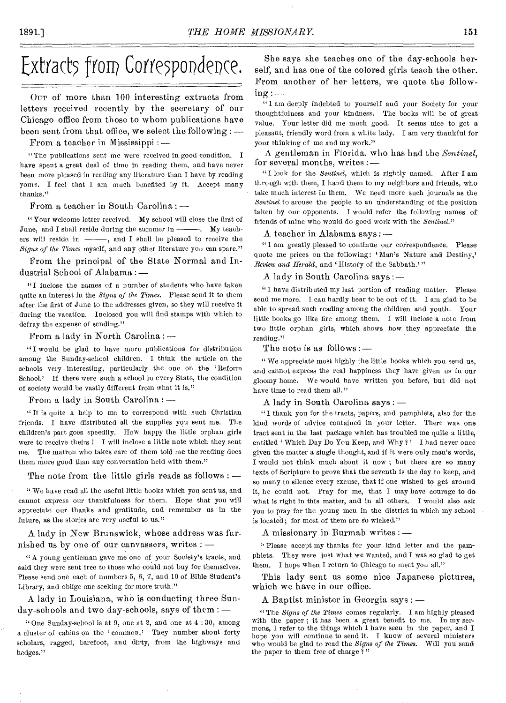# Extracts from Correspondence.

OUT of more than 100 interesting extracts from letters received recently by the secretary of our Chicago office from those to whom publications have been sent from that office, we select the following : —

From a teacher in Mississippi : —

"The publications sent me were received in good condition. I have spent a great deal of time in reading them, and have never been more pleased in reading any literature than I have by reading yours. I feel that I am much benefited by it. Accept many thanks."

From a teacher in South Carolina : —

"Your welcome letter received. My school will close the first of June, and I shall reside during the summer in  $-\cdots$ . My teachers will reside in  $-\rightarrow$ , and I shall be pleased to receive the Signs of the Times myself, and any other literature you can spare."

From the principal of the State Normal and Industrial School of Alabama : —

"I inclose the names of a number of students who have taken quite an interest in the *Signs of the Times.* Please send it to them after the first of June to the addresses given, so they will receive it during the vacation. Inclosed you will find stamps with which to defray the expense of sending."

From a lady in North Carolina : —

"I would be glad to have more publications for distribution among the Sunday-school children. I think the article on the schools very interesting, particularly the one on the 'Reform School.' If there were such a school in every State, the condition of society would be vastly different from what it is."

From a lady in South Carolina : —

"It is quite a help to me to correspond with such Christian friends. I have distributed all the supplies you sent me. The children's part goes speedily. How happy the little orphan girls were to receive theirs ! I will inclose a little note which they sent me. The matron who takes care of them told me the reading does them more good than any conversation held with them."

The note from the little girls reads as follows : —

" We have read all the useful little books which you sent us, and cannot express our thankfulness for them. Hope that you will appreciate our thanks and gratitude, and remember us in the future, as the stories are very useful to us."

A lady in New Brunswick, whose address was furnished us by one of our canvassers, writes : —

"A young gentleman gave me one of your Society's tracts, and said they were sent free to those who could not buy for themselves. Please send one each of numbers 5, 6, 7, and 10 of Bible Student's Library, and oblige one seeking for more truth."

A lady in Louisiana, who is conducting three Sunday-schools and two day-schools, says of them : —

" One Sunday-school is at 9, one at 2, and one at 4 : 30, among a cluster of cabins on the 'common.' They number about forty scholars, ragged, barefoot, and dirty, from the highways and hedges."

She says she teaches one of the day-schools herself, and has one of the colored girls teach the other. From another of her letters, we quote the follow $ing:$  —

"I am deeply indebted to yourself and your Society for your thoughtfulness and your kindness. The books will be of great value. Your letter did me much good. It seems nice to get a pleasant, friendly word from a white lady. I am very thankful for your thinking of me and my work."

A gentleman in Florida, who has had the *Sentinel,*  for several months, writes :—

" I look for the *Sentinel,* which is rightly named. After I am through with them, I hand them to my neighbors and friends, who take much interest in them. We need more such journals as the *Sentinel* to arouse the people to an understanding of the position taken by our opponents. I would refer the following names of friends of mine who would do good work with the *Sentinel."* 

A teacher in Alabama says : —

" I am greatly pleased to continue our correspondence. Please quote me prices on the following: 'Man's Nature and Destiny,' *Review and Herald, and 'History of the Sabbath.'"* 

A lady in South Carolina says :—

" I have distributed my last portion of reading matter. Please send me more. I can hardly bear to be out of it. I am glad to be able to spread such reading among the children and youth. Your little books go like fire among them. I will inclose a note from two little orphan girls, which shows how they appreciate the reading."

The note is as follows :—

" We appreciate most highly the little books which you send us, and cannot express the real happiness they have given us in our gloomy home. We would have written you before, but did not have time to read them all."

A lady in South Carolina says : —

"I thank you for the tracts, papers, and pamphlets, also for the kind words of advice contained in your letter. There was one tract sent in the last package which has troubled me quite a little, entitled Which Day Do You Keep, and Why? ' I had never once given the matter a single thought, and if it were only man's words, I would not think much about it now ; but there are so many texts of Scripture to prove that the seventh is the day to keep, and so many to silence every excuse, that if one wished to get around it, he could not. Pray for me, that I may have courage to do what is right in this matter, and in all others. I would also ask you to pray for the young men in the district in which my school is located; for most of them are so wicked."

A missionary in Burmah writes : —

"Please accept my thanks for your kind letter and the pamphlets. They were just what we wanted, and I was so glad to get them. I hope when I return to Chicago to meet you all."

This lady sent us some nice Japanese pictures, which we have in our office.

A Baptist minister in Georgia says : —

"The *Signs of the Times* comes regularly. I am highly pleased with the paper ; it has been a great benefit to me. In my sermons, I refer to the things which I have seen in the paper, and I hope you will continue to send it. I know of several ministers who would be glad to read the *Signs of the Times.* Will you send the paper to them free of charge?"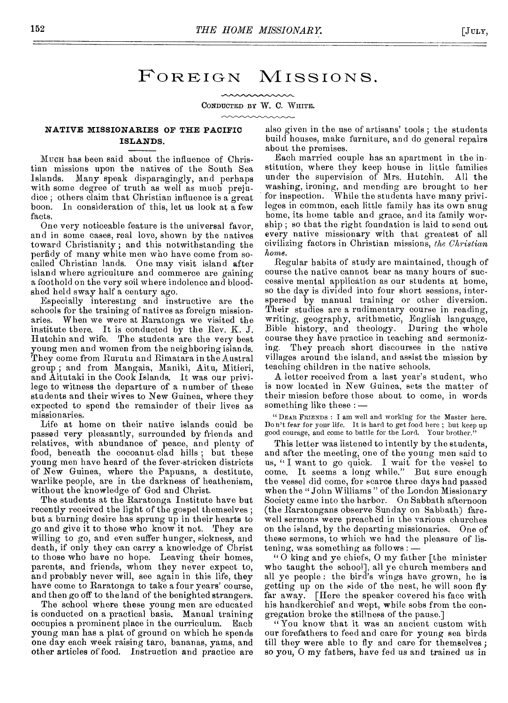## FOREIGN MISSIONS.

CONDUCTED BY W. C. WHITE.

#### **NATIVE MISSIONARIES OF THE PACIFIC ISLANDS.**

MUCH has been said about the influence of Christian missions upon the natives of the South Sea Many speak disparagingly, and perhaps with some degree of truth as well as much prejudice ; others claim that Christian influence is a great boon. In consideration of this, let us look at a few facts.

One very noticeable feature is the universal favor, and in some cases, real love, shown by the natives toward Christianity; and this notwithstanding the perfidy of many white men who have come from socalled Christian lands. One may visit island after island where agriculture and commerce are gaining a foothold on the very soil where indolence and bloodshed held sway half a century ago.

Especially interesting and instructive are the schools for the training of natives as foreign missionaries. When we were at Raratonga we visited the institute there. It is conducted by the Rev. K. J. Hutchin and wife. The students are the very best young men and women from the neighboring islands. They come from Rurutu and Rimatara in the Austral group ; and from Mangaia, Maniki, Aitu, Mitieri, and Aitutaki in the Cook Islands. It was our privilege to witness the departure of a number of these students and their wives to New Guinea, where they expected to spend the remainder of their lives as missionaries.

Life at home on their native islands could be passed very pleasantly, surrounded by friends and relatives, with abundance of peace, and plenty of food, beneath the cocoanut clad hills; but these young men have heard of the fever-stricken districts of New Guinea, where the Papuans, a destitute, warlike people, are in the darkness of heathenism, without the knowledge of God and Christ.

The students at the Raratonga Institute have but recently received the light of the gospel themselves ; but a burning desire has sprung up in their hearts to go and give it to those who know it not. They are willing to go, and even suffer hunger, sickness, and death, if only they can carry a knowledge of Christ to those who have no hope. Leaving their homes, parents, and friends, whom they never expect to, and probably never will, see again in this life, they have come to Raratonga to take a four years' course, and then go off to the land of the benighted strangers.

The school where these young men are educated is conducted on a practical basis. Manual training occupies a prominent place in the curriculum. Each young man has a plat of ground on which he spends one day each week raising taro, bananas, yams, and other articles of food. Instruction and practice are

also given in the use of artisans' tools ; the students build houses, make furniture, and do general repairs about the premises.

Each married couple has an apartment in the institution, where they keep house in little families under the supervision of Mrs. Hutchin. All the washing, ironing, and mending are brought to her for inspection. While the students have many privileges in common, each little family has its own snug home, its home table and grace, and its family worship ; so that the right foundation is laid to send out every native missionary with that greatest of all civilizing factors in Christian missions, *the Christian home.* 

Regular habits of study are maintained, though of course the native cannot bear as many hours of successive mental application as our students at home, so the day is divided into four short sessions, interspersed by manual training or other diversion. Their studies are a rudimentary course in reading, writing, geography, arithmetic, English language, Bible history, and theology. During the whole course they have practice in teaching and sermonizing. They preach short discourses in the native villages around the island, and assist the mission by teaching children in the native schools.

A letter received from a last year's student, who is now located in New Guinea, sets the matter of their mission before those about to come, in words something like these : —

"DEAR FRIENDS : I am well and working for the Master here. Do n't fear for your life. It is hard to get food here ; but keep up good courage, and come to battle for the Lord. Your brother."

This letter was listened to intently by the students, and after the meeting, one of the young men said to us, "I want to go quick. I wait for the vessel to come. It seems a long while." But sure enough the vessel did come, for scarce three days had passed when the "John Williams " of the London Missionary Society came into the harbor. On Sabbath afternoon (the Raratongans observe Sunday on Sabbath) farewell sermons were preached in the various churches on the island, by the departing missionaries. One of these sermons, to which we had the pleasure of listening, was something as follows : —

" 0 king and ye chiefs, 0 my father [the minister who taught the school], all ye church members and all ye people : the bird's wings have grown, he is getting up on the side of the nest, he will soon fly far away. [Here the speaker covered his face with his handkerchief and wept, while sobs from the congregation broke the stillness of the pause.]

"You know that it was an ancient custom with our forefathers to feed and care for young sea birds till they were able to fly and care for themselves; so you, 0 my fathers, have fed us and trained us in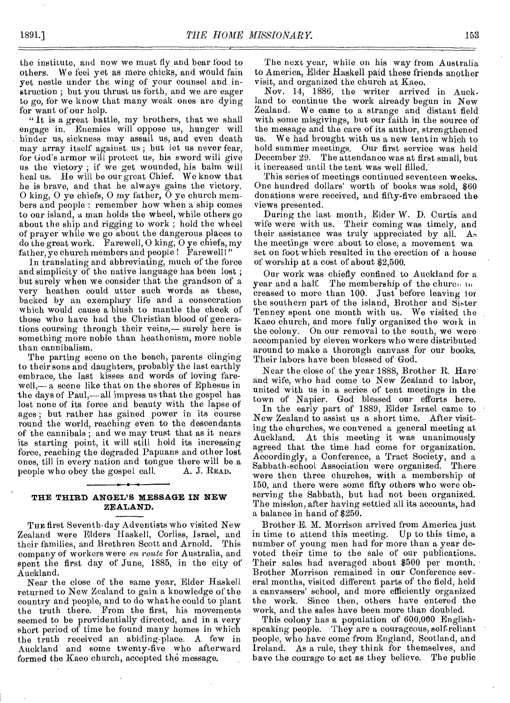the institute, and now we must fly and bear food to others. We feel yet as mere chicks, and would fain yet nestle under the wing of your counsel and instruction ; but you thrust us forth, and we are eager to go, for we know that many weak ones are dying for want of our help.

" It is a great battle, my brothers, that we shall engage in. Enemies will oppose us, hunger will hinder us, sickness may assail us, and even death may array itself against us ; but let us never fear, for God's armor will protect us, his sword will give us the victory ; if we get wounded, his balm will heal us. He will be our great Chief. We know that he is brave, and that he always gains the victory. 0 king, 0 ye chiefs, 0 my father, 0 ye church members and people : remember how when a ship comes to our island, a man holds the wheel, while others go about the ship and rigging to work; hold the wheel of prayer while we go about the dangerous places to do the great work. Farewell, 0 king, 0 ye chiefs, my father, ye church members and people! Farewell!"

In translating and abbreviating, much of the force and simplicity of the native language has been lost ; but surely when we consider that the grandson of a very heathen could utter such words as these, backed by an exemplary life and a consecration which would cause a blush to mantle the cheek of those who have had the Christian blood of generations coursing through their veins,— surely here is something more noble than heathenism, more noble than cannibalism.

The parting scene on the beach, parents clinging to their sons and daughters, probably the last earthly embrace, the last kisses and words of loving farewell,— a scene like that on the shores of Ephesus in the days of Paul,—all impress us that the gospel has lost none of its force and beauty with the lapse of ages; but rather has gained power in its course round the world, reaching even to the descendants of the cannibals ; and we may trust that as it nears its starting point, it will still hold its increasing force, reaching the degraded Papuans and other lost ones, till in every nation and tongue there will be a people who obey the gospel call. A. J. READ.

#### THE THIRD ANGEL'S MESSAGE IN NEW ZEALAND.

THE first Seventh-day Adventists who visited New Zealand were Elders Haskell, Corliss, Israel, and their families, and Brethren Scott and Arnold. company of workers were *en route* for Australia, and spent the first day of June, 1885, in the city of Auckland.

Near the close of the same year, Elder Haskell returned to New Zealand to gain a knowledge of the country and people, and to do what he could to plant the truth there. From the first, his movements seemed to be providentially directed, and in a very short period of time he found many homes in which the truth received an abiding-place. A few in Auckland' and some twenty-five who afterward formed the Kaeo church, accepted the message.

The next year, while on his way from Australia to America, Elder Haskell paid these friends another visit, and organized the church at Kaeo.

Nov. 14, 1886, the writer arrived in Auckland to continue the work already begun in New Zealand. We came to a strange and distant field with some misgivings, but our faith in the source of the message and the care of its author, strengthened We had brought with us a new tent in which to hold summer meetings. Our first service was held December 29. The attendance was at first small, but it increased until the tent was well filled.

This series of meetings continued seventeen weeks. One hundred dollars' worth of books was sold, \$60 donations were received, and fifty-five embraced the views presented.

During the last month, Elder W. D. Curtis and wife were with us. Their coming was timely, and their assistance was truly appreciated by all. As the meetings were about to close, a movement wa set on foot which resulted in the erection of a house of worship at a cost of about \$2,500.

Our work was chiefly confined to Auckland for a year and a half. The membership of the church in creased to more than 100. Just before leaving for the southern part of the island, Brother and Sister Tenney spent one month with us. We visited the Kaeo church, and more fully organized the work in the colony. On our removal to the south, we were accompanied by eleven workers who were distributed around to make a thorough canvass for our books. Their labors have been blessed of God.

Near the close of the year 1888, Brother R. Hare and wife, who had come to New Zealand to labor, united with us in a series of tent meetings in the town of Napier. God blessed our efforts here. In the early part of 1889, Elder Israel came to New Zealand to assist us a short time. After visiting the churches, we convened a general meeting at Auckland. At this meeting it was unanimously agreed that the time had come for organization. Accordingly, a Conference, a Tract Society, and a Sabbath-school Association were organized. There were then three churches, with a membership of 150, and there were some fifty others who were observing the Sabbath, but had not been organized. The mission, after having settled all its accounts, had a balance in hand of \$250.

Brother E. M. Morrison arrived from America just in time to attend this meeting. Up to this time, a number of young men had for more than a year devoted their time to the sale of our publications. Their sales had averaged about \$500 per month. Brother Morrison remained in our Conference several months, visited different parts of the field, held a canvassers' school, and more efficiently organized the work. Since then, others have entered the work, and the sales have been more than doubled.

This colony has a population of 600,000 Englishspeaking people. They are a courageous, self-reliant people, who have come from England, Scotland, and Ireland. As a rule, they think for themselves, and have the courage to act as they believe. The public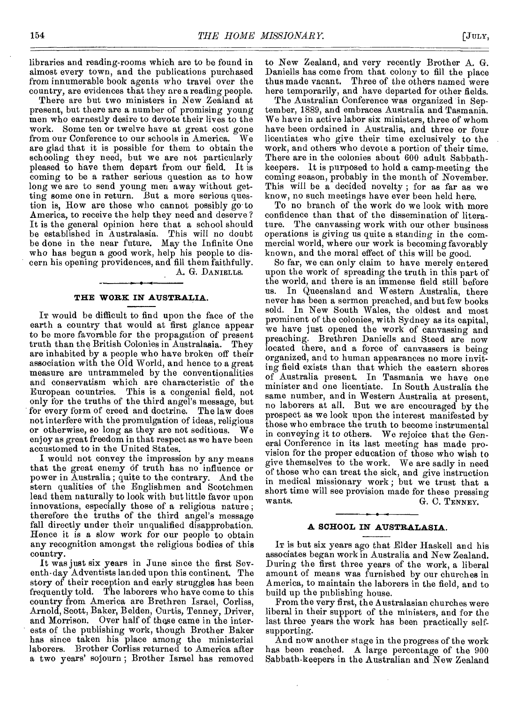libraries and reading-rooms which are to be found in almost every town, and the publications purchased from innumerable book agents who travel over the country, are evidences that they are a reading people.

There are but two ministers in New Zealand at present, but there are a number of promising young men who earnestly desire to devote their lives to the work. Some ten or twelve have at great cost gone<br>from our Conference to our schools in America. We from our Conference to our schools in America. are glad that it is possible for them to obtain the schooling they need, but we are not particularly pleased to have them depart from our field. It is coming to be a rather serious question as to how long we are to send young men away without getting some one in return. But a more serious question is, How are those who cannot possibly go• to America, to receive the help they need and deserve ? It is the general opinion here that a school should be established in Australasia. This will no doubt be done in the near future. May the Infinite One who has begun a good work, help his people to discern his opening providences, and fill them faithfully.

A. G. DANIELLS.

#### **THE WORK IN AUSTRALIA.**

IT would be difficult to find upon the face of the earth a country that would at first glance appear to be more favorable for the propagation of present<br>truth than the British Colonies in Australasia. They truth than the British Colonies in Australasia. are inhabited by a people who have broken off their association with the Old World, and hence to a great measure are untrammeled by the conventionalities and conservatism which are characteristic of the European countries. This is a congenial field, not only for the truths of the third angel's message, but for every form of creed and doctrine. The law does not interfere with the promulgation of ideas, religious or otherwise, so long as they are not seditious. We enjoy as great freedom in that respect as we have been accustomed to in the United States.

I would not convey the impression by any means that the great enemy of truth has no influence or power in Australia ; quite to the contrary. And the stern qualities of the Englishmen and Scotchmen lead them naturally to look with but little favor upon innovations, especially those of a religious nature ; therefore the truths of the third angel's message fall directly under their unqualified disapprobation. Hence it is a slow work for our people to obtain any recognition amongst the religious bodies of this country.

It was just six years in June since the first Seventh-day Adventists landed upon this continent. The story of their reception and early struggles has been frequently told. The laborers who have come to this country from America are Brethren Israel, Corliss, Arnold, Scott, Baker, Belden, Curtis, Tenney, Driver, and Morrison. Over half of these came in the interests of the publishing work, though Brother Baker has since taken his place among the ministerial laborers. Brother Corliss returned to America after a two years' sojourn ; Brother Israel has removed

to New Zealand, and very recently Brother A. G. Daniells has come from that colony to fill the place thus made vacant. Three of the others named were here temporarily, and have departed for other fields.

The Australian Conference was organized in September, 1889, and embraces Australia and Tasmania. We have in active labor six ministers, three of whom have been ordained in Australia, and three or four licentiates who give their time exclusively to the work, and others who devote a portion of their time. There are in the colonies about 600 adult Sabbathkeepers. It is purposed to hold a camp-meeting the coming season, probably in the month of November. This will be a decided novelty; for as far as we know, no such meetings have ever been held here.

To no branch of the work do we look with more confidence than that of the dissemination of literature. The canvassing work with our other business operations is giving us quite a standing in the commercial world, where our work is becoming favorably known, and the moral effect of this will be good.

So far, we can only claim to have merely entered upon the work of spreading the truth in this part of the world, and there is an immense field still before us. In Queensland and Western Australia, there never has been a sermon preached, and but few books sold. In New South Wales, the oldest and most prominent of the colonies, with Sydney as its capital, we have just opened the work of canvassing and preaching. Brethren Daniells and Steed are now located there, and a force of canvassers is being organized, and to human appearances no more inviting field exists than that which the eastern shores of Australia present. In Tasmania we have one minister and one licentiate. In South Australia the same number, and in Western Australia at present, no laborers at all. But we are encouraged by the prospect as we look upon the interest manifested by those who embrace the truth to become instrumental in conveying it to others. We rejoice that the General Conference in its last meeting has made provision for the proper education of those who wish to give themselves to the work. We are sadly in need of those who can treat the sick, and give instruction in medical missionary work ; but we trust that a short time will see provision made for these pressing<br>wants.  $G. C. T_{ENNRY}$ G. C. TENNEY.

#### **A SCHOOL IN AUSTRALASIA.**

IT is but six years ago that Elder Haskell and his associates began work in Australia and New Zealand. During the first three years of the work, a liberal amount of means was furnished by our churches in America, to maintain the laborers in the field, and to build up the publishing house.

From the very first, the Australasian churches were liberal in their support of the ministers, and for the last three years the work has been practically selfsupporting.

And now another stage in the progress of the work has been reached. A large percentage of the 900 Sabbath-keepers in the Australian and New Zealand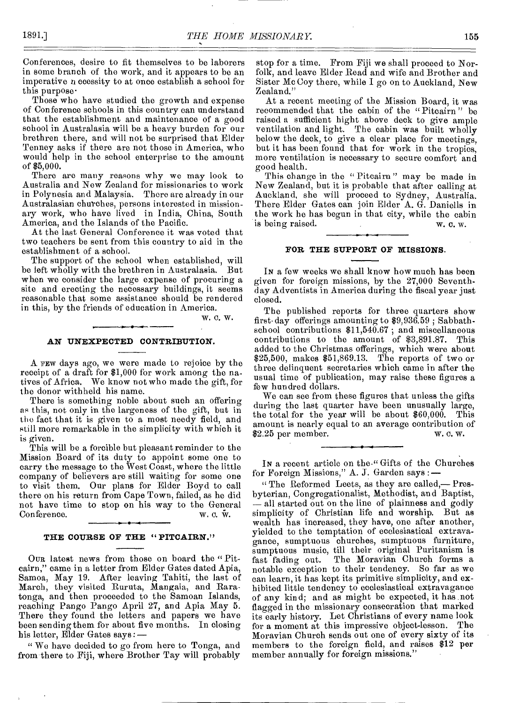Conferences, desire to fit themselves to be laborers in some branch of the work, and it appears to be an imperative n ecessity to at once establish a school for this purpose•

Those who have studied the growth and expense of Conference schools in this country can understand that the establishment and maintenance of a good school in Australasia will be a heavy burden for our brethren there, and will not be surprised that Elder Tenney asks if there are not those in America, who would help in the school enterprise to the amount of \$5,000.

There are many reasons why we may look to Australia and New Zealand for missionaries to work in Polynesia and Malaysia. There are already in our Australasian churches, persons interested in missionary work, who have lived in India, China, South America, and the Islands of the Pacific.

At the last General Conference it was voted that two teachers be sent from this country to aid in the establishment of a school.

The support of the school when established, will be left wholly with the brethren in Australasia. when we consider the large expense of procuring a site and erecting the necessary buildings, it seems reasonable that some assistance should be rendered in this, by the friends of education in America.

W. C. W.

#### **AN UNEXPECTED CONTRIBUTION.**

A FEW days ago, we were made to rejoice by the receipt of a draft for \$1,000 for work among the natives of Africa. We know not who made the gift, for the donor withheld his name.

There is something noble about such an offering as this, not only in the largeness of the gift, but in the fact that it is given to a most needy field, and still more remarkable in the simplicity with which it is given.

This will be a forcible but pleasant reminder to the Mission Board of its duty to appoint some one to carry the message to the West Coast, where the little company of believers are still waiting for some one to visit them. Our plans for Elder Boyd to call there on his return from Cape Town, failed, as he did not have time to stop on his way to the General Conference.<br>
W. C. W. Conference.

#### **THE COURSE OF THE " PITCAIRN."**

OUR latest news from those on board the " Pitcairn," came in a letter from Elder Gates dated Apia, Samoa, May 19. After leaving Tahiti, the last of March, they visited Ruruta, Mangaia, and Raratonga, and then proceeded to the Samoan Islands, reaching Pango Pango April 27, and Apia May 5. There they found the letters and papers we have been sending them for about five months. In closing his letter, Elder Gates says:—

" We have decided to go from here to Tonga, and from there to Fiji, where Brother Tay will probably

stop for a time. From Fiji we shall proceed to Norfolk, and leave Elder Read and wife and Brother and Sister Mc Coy there, while I go on to Auckland, New Zealand."

At a recent meeting of the Mission Board, it was recommended that the cabin of the " Pitcairn " be raised a sufficient hight above deck to give ample ventilation and light. The cabin was built wholly below the deck, to give a clear place for meetings, but it has been found that for work in the tropics, more ventilation is necessary to secure comfort and good health.

This change in the "Pitcairn" may be made in New Zealand, but it is probable that after calling at Auckland, she will proceed to Sydney, Australia. There Elder Gates can join Elder A. G. Daniells in the work he has begun in that city, while the cabin is being raised. w. C. w.

#### **FOR THE SUPPORT OF MISSIONS.**

IN a few weeks we shall know how much has been given for foreign missions, by the 27,000 Seventhday Adventists in America during the fiscal year just closed.

The published reports for three quarters show first-day offerings amounting to \$9,936.59 ; Sabbathschool contributions \$11,540.67 ; and miscellaneous contributions to the amount of \$3,891.87. This added to the Christmas offerings, which were about \$25,500, makes \$51,869.13. The reports of two or three delinquent secretaries which came in after the usual time of publication, may raise these figures a few hundred dollars.

We can see from these figures that unless the gifts during the last quarter have been unusually large, the total for the year will be about \$60,000. This amount is nearly equal to an average contribution of \$2.25 per member.  $w. c. w.$  $$2.25$  per member.

IN a recent article on the." Gifts of the Churches for Foreign Missions," A. J. Garden says :—

" The Reformed Leets, as they are called,— Presbyterian, Congregationalist, Methodist, and Baptist, — all started out on the line of plainness and godly simplicity of Christian life and worship. But as wealth has increased, they have, one after another, yielded to the temptation of ecclesiastical extravagance, sumptuous churches, sumptuous furniture, sumptuous music, till their original Puritanism is fast fading out. The Moravian Church forms a notable exception to their tendency. So far as we can learn, it has kept its primitive simplicity, and exhibited little tendency to ecclesiastical extravagance of any kind; and as might be expected, it has not flagged in the missionary consecration that marked its early history. Let Christians of every name look for a moment at this impressive object-lesson. The Moravian Church sends out one of every sixty of its members to the foreign field, and raises \$12 per member annually for foreign missions."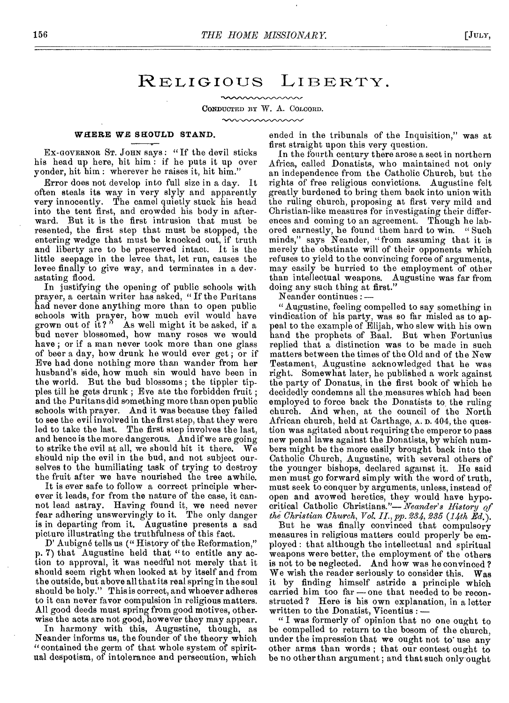### RELIGIOUS LIDERTY,

CONDUCTED BY W. A. COLCORD.

mummunn

#### **WHERE WE SHOULD STAND.**

EX-GOVERNOR ST. JoHN Says : " If the devil sticks his head up here, hit him : if he puts it up over yonder, hit him : wherever he raises it, hit him."

Error does not develop into full size in a day. It often steals its way in very slyly and apparently very innocently. The camel quietly stuck his head into the tent first, and crowded his body in afterward. But it is the first intrusion that must be resented, the first step that must be stopped, the entering wedge that must be knocked out, if truth and liberty are to be preserved intact. It is the little seepage in the levee that, let run, causes the levee finally to give way, and terminates in a devastating flood.

In justifying the opening of public schools with prayer, a certain writer has asked, " If the Puritans had never done anything more than to open public schools with prayer, how much evil would have grown out of it?" As well might it be asked, if a bud never blossomed, how many roses we would have; or if a man never took more than one glass of beer a day, how drunk he would ever get ; or if Eve had done nothing more than wander from her husband's side, how much sin would have been in the world. But the bud blossoms ; the tippler tipples till he gets drunk ; Eve ate the forbidden fruit ; and the Puritans did something more than open public schools with prayer. And it was because they failed to see the evil involved in the first step, that they were led to take the last. The first step involves the last, and hence is the more dangerous. And if we are going to strike the evil at all, we should hit it there. We should nip the evil in the bud, and not subject ourselves to the humiliating task of trying to destroy the fruit after we have nourished the tree awhile.

It is ever safe to follow a correct principle wherever it leads, for from the nature of the case, it cannot lead astray. Having found it, we need never fear adhering unswervingly to it. The only danger is in departing from it. Augustine presents a sad picture illustrating the truthfulness of this fact.

D' Aubigné tells us ("History of the Reformation," p. 7) that Augustine held that " to entitle any action to approval, it was needful not merely that it should seem right when looked at by itself and from the outside, but above all that its real spring in the soul should be holy." This is correct, and whoever adheres to it can never favor compulsion in religious matters. All good deeds must spring from good motives, otherwise the acts are not good, however they may appear.

In harmony with this, Augustine, though, as Neander informs us, the founder of the theory which "contained the germ of that whole system of spiritual despotism, of intolerance and persecution, which

ended in the tribunals of the Inquisition," was at first straight upon this very question.

In the fourth century there arose a sect in northern Africa, called Donatists, who maintained not only an independence from the Catholic Church, but the rights of free religious convictions. Augustine felt greatly burdened to bring them back into union with the ruling church, proposing at first very mild and Christian-like measures for investigating their differences and coming to an agreement. Though he labored earnestly, he found them hard to win. "Such minds," says Neander, "from assuming that it is merely the obstinate will of their opponents which refuses to yield to the convincing force of arguments, may easily be hurried to the employment of other than intellectual weapons. Augustine was far from doing any such thing at first."

Neander continues : —

" Augustine, feeling compelled to say something in vindication of his party, was so far misled as to appeal to the example of Elijah, who slew with his own hand the prophets of Baal. But when Fortunius replied that a distinction was to be made in such matters between the times of the Old and of the New Testament, Augustine acknowledged that he was right. Somewhat later, he published a work against the party of Donatus, in the first book of which he decidedly condemns all the measures which had been employed to force back the Donatists to, the ruling church. And when, at the council of the North African church, held at Carthage, A. D. 404, the question was agitated about requiring the emperor to pass new penal laws against the Donatists, by which numbers might be the more easily brought back into the Catholic Church, Augustine, with several others of the younger bishops, declared against it. He said men must go forward simply with the word of truth, must seek to conquer by arguments, unless, instead of open and avowed heretics, they would have hypocritical Catholic Christians."— *Neander's History of the Christian Church, Vol. II., pp. 234, 235 (14th Ed.).* 

But he was finally convinced that compulsory measures in religious matters could properly be employed : that although the intellectual and spiritual weapons were better, the employment of the others is not to be neglected. And how was he convinced ? We wish the reader seriously to consider this. Was it by finding himself astride a principle which carried him too far — one that needed to be reconstructed ? Here is his own explanation, in a letter written to the Donatist, Vicentius : —

" I was formerly of opinion that no one ought to be compelled to return to the bosom of the church, under the impression that we ought not to' use any other arms than words ; that our contest ought to be no other than argument ; and that such only ought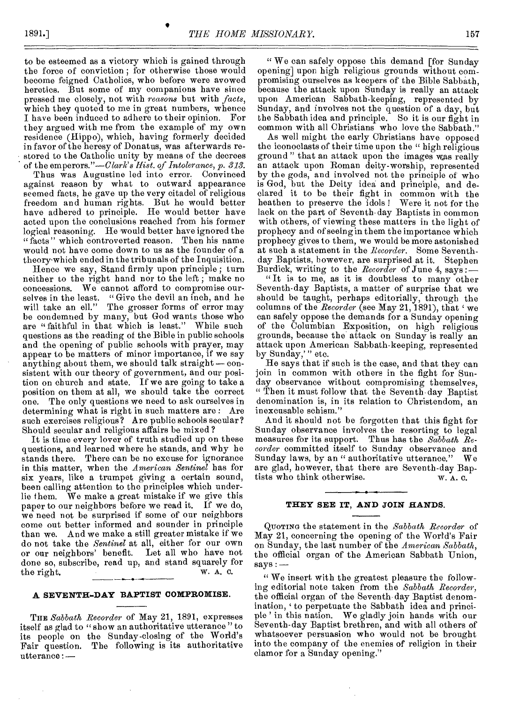to be esteemed as a victory which is gained through the force of conviction ; for otherwise those would become feigned Catholics, who before were avowed heretics. But some of my companions have since pressed me closely, not with *reasons* but with *facts,*  which they quoted to me in great numbers, whence I have been induced to adhere to their opinion. For they argued with me from the example of my own residence (Hippo), which, having formerly decided in favor of the heresy of Donatus, was afterwards restored to the Catholic unity by means of the decrees of the emperors."-Clark's Hist. of Intolerance, p. 313.

•

Thus was Augustine led into error. Convinced against reason by what to outward appearance seemed facts, he gave up the very citadel of religious freedom and human rights. But he would better have adhered to principle. He would better have acted upon the conclusions reached from his former logical reasoning. He would better have ignored the " facts" which controverted reason. Then his name would not have come down to us as the founder of a theorywhich ended in the tribunals of the Inquisition.

Hence we say, Stand firmly upon principle ; turn neither to the right hand nor to the left ; make no concessions. We cannot afford to compromise ourselves in the least. "Give the devil an inch, and he will take an ell." The grosser forms of error may The grosser forms of error may be condemned by many, but God wants those who are "faithful in that which is least." While such are "faithful in that which is least." questions as the reading of the Bible in public schools and the opening of public schools with prayer, may appear to be matters of minor importance, if we say anything about them, we should talk straight — consistent with our theory of government, and our position on church and state. If we are going to take a position on them at all, we should take the correct one. The only questions we need to ask ourselves in determining what is right in such matters are : Are such exercises religious? Are public schools secular? Should secular and religious affairs be mixed ?

It is time every lover of truth studied up on these questions, and learned where he stands, and why he stands there. There can be no excuse for ignorance in this matter, when the *American Sentinel* has for six years, like a trumpet giving a certain sound, been calling attention to the principles which underlie them. We make a great mistake if we give this paper to our neighbors before we read it. If we do, we need not be surprised if some of our neighbors come out better informed and sounder in principle than we. And we make a still greater mistake if we do not take the *Sentinel* at all, either for our own or our neighbors' benefit. Let all who have not done so, subscribe, read up, and stand squarely for the right.  $W. A. C.$ the right.

#### **A SEVENTH-DAY BAPTIST COMPROMISE.**

THE *Sabbath Recorder* of May 21, 1891, expresses itself as glad to " show an authoritative utterance " to its people on the Sunday-closing of the World's Fair question. The following is its authoritative utterance:—

" We can safely oppose this demand [for Sunday opening] upon high religious grounds without compromising ourselves as keepers of the Bible Sabbath, because the attack upon Sunday is really an attack upon American Sabbath-keeping, represented by Sunday, and involves not the question of a day, but the Sabbath idea and principle. So it is our fight in common with all Christians who love the Sabbath."

As well might the early Christians have opposed the iconoclasts of their time upon the " high religious ground" that an attack upon the images was really an attack upon Roman deity-worship, represented by the gods, and involved not the principle of who is God, but the Deity idea and principle, and declared it to be their fight in common with the heathen to preserve the idols ! Were it not for the lack on the part of Seventh-day Baptists in common with others, of viewing these matters in the light of prophecy and of seeing in them the importance which prophecy gives to them, we would be more astonished at such a statement in the *Recorder.* Some Seventhday Baptists, however, are surprised at it. Stephen Burdick, writing to the *Recorder* of June 4, says :—

" It is to me, as it is doubtless to many other Seventh-day Baptists, a matter of surprise that we should be taught, perhaps editorially, through the columns of the *Recorder* (see May 21, 1891), that 'we can safely oppose the demands for a Sunday opening of the Columbian Exposition, on high religious grounds, because the attack on Sunday is really an attack upon American Sabbath-keeping, represented by Sunday,'" etc.

He says that if such is the case, and that they can join in common with others in the fight for Sunday observance without compromising themselves, " Then it must follow that the Seventh day Baptist denomination is, in its relation to Christendom, an inexcusable schism."

And it should not be forgotten that this fight for Sunday observance involves the resorting to legal measures for its support. Thus has the *Sabbath Recorder* committed itself to Sunday observance and Sunday laws, by an " authoritative utterance." are glad, however, that there are Seventh-day Baptists who think otherwise. W. A. C.

#### **THEY SEE IT, AND JOIN HANDS.**

QUOTING the statement in the *Sabbath Recorder* of May 21, concerning the opening of the World's Fair on Sunday, the last number of the *American Sabbath,*  the official organ of the American Sabbath Union,  $says : -$ 

" We insert with the greatest pleasure the following editorial note taken from the *Sabbath Recorder,*  the official organ of the Seventh day Baptist denomination, to perpetuate the Sabbath idea and principle' in this nation. We gladly join hands with our Seventh-day Baptist brethren, and with all others of whatsoever persuasion who would not be brought into the company of the enemies of religion in their clamor for a Sunday opening."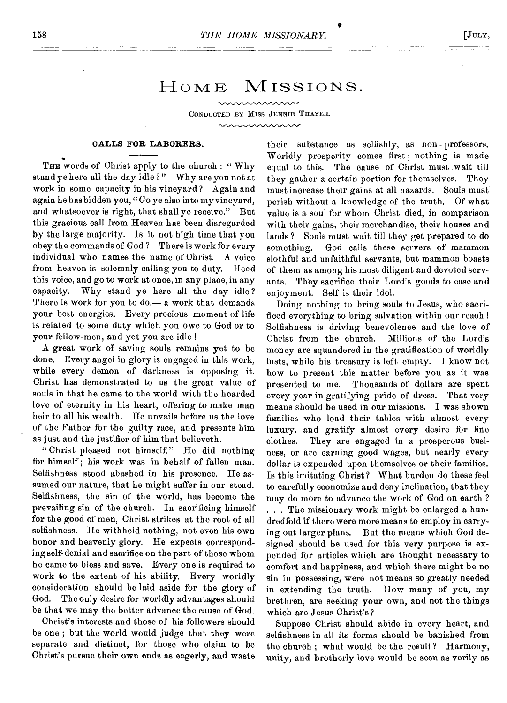### HOME MISSIONS.

CONDUCTED BY MISS JENNIE THAYER. maaaaaaaaaa

#### **CALLS FOR LABORERS.**

**THE** words of Christ apply to the church : " Why stand ye here all the day idle ? " Why are you not at work in some capacity in his vineyard ? Again and again he has bidden you, " Go ye also into my vineyard, and whatsoever is right, that shall ye receive." But this gracious call from Heaven has been disregarded by the large majority. Is it not high time that you obey the commands of God ? There is work for every individual who names the name of Christ. A voice from heaven is solemnly calling you to duty. Heed this voice, and go to work at once, in any place, in any capacity. Why stand ye here all the day idle ? There is work for you to do,— a work that demands your best energies. Every precious moment of life is related to some duty which you owe to God or to your fellow-men, and yet you are idle !

A great work of saving souls remains yet to be done. Every angel in glory is engaged in this work, while every demon of darkness is opposing it. Christ has demonstrated to us the great value of souls in that he came to the world with the hoarded love of eternity in his heart, offering to make man heir to all his wealth. He unvails before us the love of the Father for the guilty race, and presents him as just and the justifier of him that believeth.

" Christ pleased not himself." He did nothing for himself ; his work was in behalf of fallen man. Selfishness stood abashed in his presence. He assumed our nature, that he might suffer in our stead. Selfishness, the sin of the world, has become the prevailing sin of the church. In sacrificing himself for the good of men, Christ strikes at the root of all selfishness. He withheld nothing, not even his own honor and heavenly glory. He expects corresponding self- denial and sacrifice on the part of those whom he came to bless and save. Every one is required to work to the extent of his ability. Every worldly consideration should be laid aside for the glory of God. The only desire for worldly advantages should be that we may the better advance the cause of God.

Christ's interests and those of his followers should be one ; but the world would judge that they were separate and distinct, for those who claim to be Christ's pursue their own ends as eagerly, and waste

their substance as selfishly, as non - professors. Worldly prosperity comes first ; nothing is made equal to this. The cause of Christ must wait till they gather a certain portion for themselves. They must increase their gains at all hazards. Souls must perish without a knowledge of the truth. Of what value is a soul for whom Christ died, in comparison with their gains, their merchandise, their houses and lands ? Souls must wait till they get prepared to do something. God calls these servers of mammon slothful and unfaithful servants, but mammon boasts of them as among his most diligent and devoted servants. They sacrifice their Lord's goods to ease and enjoyment. Self is their idol.

Doing nothing to bring souls to Jesus, who sacrificed everything to bring salvation within our reach I Selfishness is driving benevolence and the love of Christ from the church. Millions of the Lord's money are squandered in the gratification of worldly lusts, while his treasury is left empty. I know not how to present this matter before you as it was presented to me. Thousands of dollars are spent every year in gratifying pride of dress. That very means should be used in our missions. I was shown families who load their tables with almost every luxury, and gratify almost every desire for fine clothes. They are engaged in a prosperous business, or are earning good wages, but nearly every dollar is expended upon themselves or their families. Is this imitating Christ? What burden do these feel to carefully economize and deny inclination, that they may do more to advance the work of God on earth ? . . . The missionary work might be enlarged a hundredfold if there were more means to employ in carrying out larger plans. But the means which God designed should be used for this very purpose is expended for articles which are thought necessary to comfort and happiness, and which there might be no sin in possessing, were not means so greatly needed in extending the truth. How many of you, my brethren, are seeking your own, and not the things which are Jesus Christ's?

Suppose Christ should abide in every heart, and selfishness in all its forms should be banished from the church ; what would be the result? Harmony, unity, and brotherly love would be seen as verily as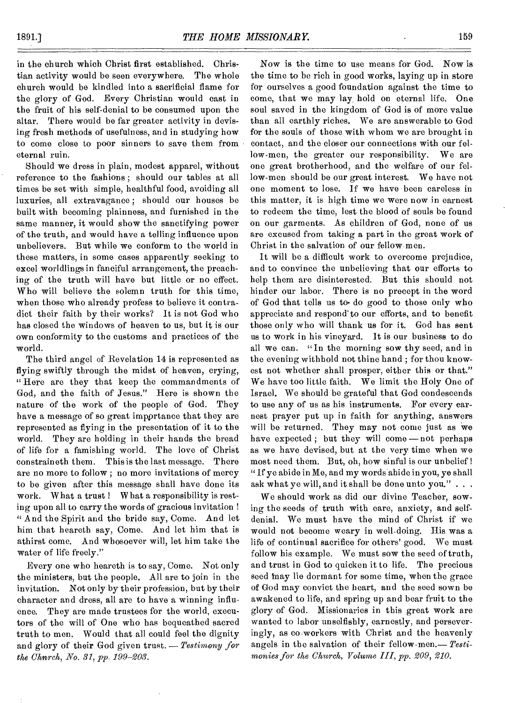in the church which Christ first established. Christian activity would be seen everywhere. The whole church would be kindled into a sacrificial flame for the glory of God. Every Christian would cast in the fruit of his self-denial to be consumed upon the altar. There would be far greater activity in devising fresh methods of usefulness, and in studying how to come close to poor sinners to save them from eternal ruin.

Should we dress in plain, modest apparel, without reference to the fashions ; should our tables at all times be set with simple, healthful food, avoiding all luxuries, all extravagance ; should our houses be built with becoming plainness, and furnished in the same manner, it would show the sanctifying power of the truth, and would have a telling influence upon unbelievers. But while we conform to the world in these matters, in some cases apparently seeking to excel worldlings in fanciful arrangement, the preaching of the truth will have but little or no effect. Who will believe the solemn truth for this time, when those who already profess to believe it contradict their faith by their works? It is not God who has closed the windows of heaven to us, but it is our own conformity to the customs and practices of the world.

The third angel of Revelation 14 is represented as flying swiftly through the midst of heaven, crying, "Here are they that keep the commandments of God, and the faith of Jesus." Here is shown the nature of the work of the people of God. They have a message of so great impprtance that they are represented as flying in the presentation of it to the world. They are holding in their hands the bread of life for a famishing world. The love of Christ constraineth them. This is the last message. There are no more to follow ; no more invitations of mercy to be given after this message shall have done its work. What a trust ! What a responsibility is resting upon all to carry the words of gracious invitation ! " And the Spirit and the bride say, Come. And let him that heareth say, Come. And let him that is athirst come. And whosoever will, let him take the water of life freely."

Every one who heareth is to say, Come. Not only the ministers, but the people. All are to join in the invitation. Not only by their profession, but by their character and dress, all are to have a winning influence. They are made trustees for the world, executors of the will of One who has bequeathed sacred truth to men. Would that all could feel the dignity and glory of their God given trust. — *Testimony for the Chnrch,, No. 81, pp. 199-203.* 

Now is the time to use means for God. Now is the time to be rich in good works, laying up in store for ourselves a good foundation against the time to come, that we may lay, hold on eternal life. One soul saved in the kingdom of God is of more value than all earthly riches. We are answerable to God for the souls of those with whom we are brought in contact, and the closer our connections with our fellow-men, the greater our responsibility. We are one great brotherhood, and the welfare of our fellow-men should be our great interest. We have not one moment to lose. If we have been careless in this matter, it is high time we were now in earnest to redeem the time, lest the blood of souls be found on our garments. As children of God, none of us are excused from taking a part in the great work of Christ in the salvation of our fellow men.

It will be a difficult work to overcome prejudice, and to convince the unbelieving that our efforts to help them are disinterested. But this should not hinder our labor. There is no precept in the word of God that tells us to. do good to those only who appreciate and respond to our efforts, and to benefit those only who will thank us for it. God has sent us to work in his vineyard. It is our business to do all we can. "In the morning sow thy seed, and in the evening withhold not thine hand ; for thou knowest not whether shall prosper, either this or that." We have too little faith. We limit the Holy One of Israel. We should be grateful that God condescends to use any of us as his instruments. For every earnest prayer put up in faith for anything, answers will be returned. They may not come just as we have expected; but they will come - not perhaps as we have devised, but at the very time when we most need them. But, oh, how sinful is our unbelief ! "If ye abide in Me, and my words abide in you, ye shall ask what ye will, and it shall be done unto you."...

We should work as did our divine Teacher, sowing the seeds of truth with care, anxiety, and selfdenial. We must have the mind of Christ if we would not become weary in well-doing. His was a life of continual sacrifice for others' good. We must follow his example. We must sow the seed of truth, and trust in God to quicken it to life. The precious seed may lie dormant for some time, when the grace of God may convict the heart, and the seed sown be awakened to life, and spring up and bear fruit to the glory of God. Missionaries in this great work are wanted to labor unselfishly, earnestly, and perseveringly, as co workers with Christ and the heavenly angels in the salvation of their fellow-men.— *Testi*monies for the Church, Volume III, pp. 209, 210.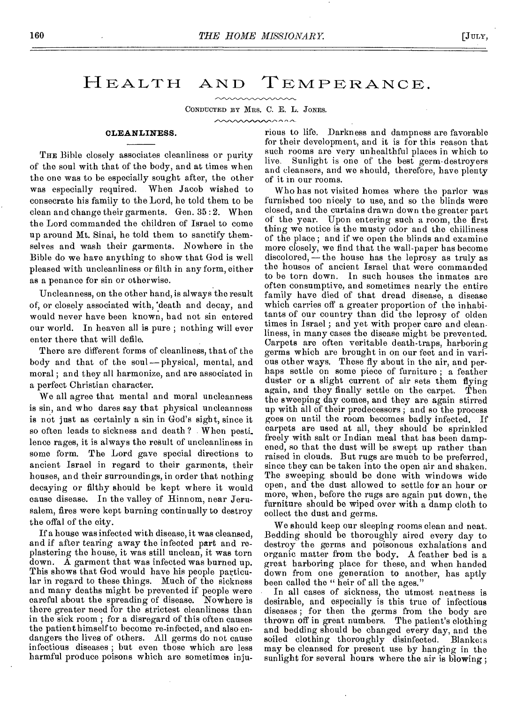### HEALTH AND /TEMPERANCE.

CONDUCTED BY MRS. C. E. L. JONES.

nummunna

#### **CLEANLINESS.**

THE Bible closely associates cleanliness or purity of the soul with that of the body, and at times when the one was to be especially sought after, the other was especially required. When Jacob wished to consecrate his family to the Lord, he told them to be clean and change their garments. Gen. 35:2. When the Lord commanded the children of Israel to come up around Mt. Sinai, he told them to sanctify themselves and wash their garments. Nowhere in the Bible do we have anything to show that God is well pleased with uncleanliness or filth in any form, either as a penance for sin or otherwise.

Uncleanness, on the other hand, is always the result of, or closely associated with, 'death and decay, and would never have been known, had not sin entered our world. In heaven all is pure ; nothing will ever enter there that will defile.

There are different forms of cleanliness, that of the body and that of the soul—physical, mental, and moral ; and they all harmonize, and are associated in a perfect Christian character.

We all agree that mental and moral uncleanness is sin, and who dares say that physical uncleanness is not just as certainly a sin in God's sight, since it so often leads to sickness and death? When pesti. lence rages, it is always the result of uncleanliness in some form. The Lord gave special directions to ancient Israel in regard to their garments, their houses, and their surroundings, in order that nothing decaying or filthy should be kept where it would cause disease. In the valley of Hinnom, near Jerusalem, fires were kept burning continually to destroy the offal of the city.

If a house was infected with disease, it was cleansed, and if after tearing away the infected part and replastering the house, it was still unclean, it was torn down. A garment that was infected was burned up. This shows that God would have his people particular in regard to these things. Much of the sickness and many deaths might be prevented if people were careful about the spreading of disease. Nowhere is there greater need for the strictest cleanliness than in the sick room ; for a disregard of this often causes the patient himself to become re-infected, and also endangers the lives of others. All germs do not cause infectious diseases ; but even those which are less harmful produce poisons which are sometimes injurious to life. Darkness and dampness are favorable for their development, and it is for this reason that such rooms are very unhealthful places in which to live. Sunlight is one of the best germ-destroyers and cleansers, and we should, therefore, have plenty of it in our rooms.

Who has not visited homes where the parlor was furnished too nicely to use, and so the blinds were closed, and the curtains drawn down the greater part of the year. Upon entering such a room, the first thing we notice is the musty odor and the chilliness of the place ; and if we open the blinds and examine more closely, we find that the wall-paper has become discolored, — the house has the leprosy as truly as the houses of ancient Israel that were commanded to be torn down. In such houses the inmates are often consumptive, and sometimes nearly the entire family have died of that dread disease, a disease which carries off a greater proportion of the inhabitants of our country than did the leprosy of olden times in Israel ; and yet with proper care and cleanliness, in many cases the disease might be prevented. Carpets are often veritable death-traps, harboring germs which are brought in on our feet and in various other ways. These fly about in the air, and perhaps settle on some piece of furniture; a feather duster or a slight current of air sets them flying again, and they finally settle on the carpet. Then the sweeping day comes, and they are again stirred up with all of their predecessors ; and so the process goes on until the room becomes badly infected. If carpets are used at all, they should be sprinkled freely with salt or Indian meal that bas been dampened, so that the dust will be swept up rather than raised in clouds. But rugs are much to be preferred, since they can be taken into the open air and shaken. The sweeping, should be done with windows wide open, and the dust allowed to settle for an hour or more, when, before the rugs are again put down, the furniture should be wiped over with a damp cloth to collect the dust and germs.

We should keep our sleeping rooms clean and neat. Bedding should be thoroughly aired every day to destroy the germs and poisonous exhalations and organic matter from the body. A feather bed is a great harboring place for these, and when handed down from one generation to another, has aptly been called the " heir of all the ages."

In all cases of sickness, the utmost neatness is desirable, and especially is this true of infectious diseases ; for then the germs from the body are thrown off in great numbers. The patient's clothing and bedding should be changed every day, and the soiled clothing thoroughly disinfected. Blankets soiled clothing thoroughly disinfected. may be cleansed for present use by hanging in the sunlight for several hours where the air is blowing ;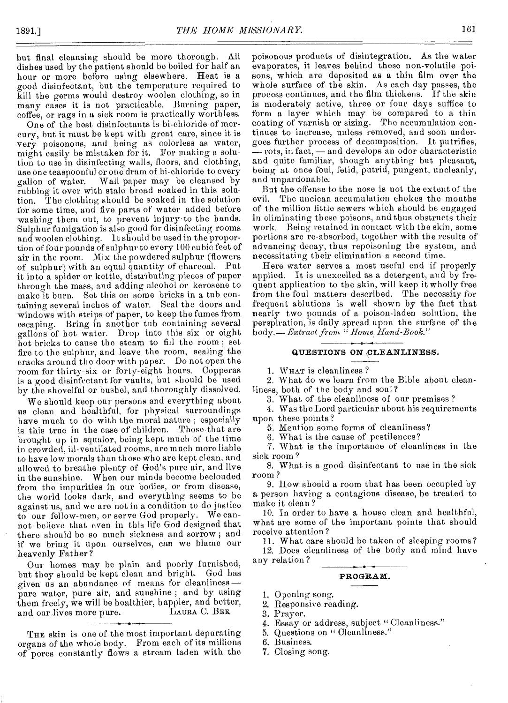but final cleansing should be more thorough. All dishes used by the patient should be boiled for half an hour or more before using elsewhere. Heat is a good disinfectant, but the temperature required to kill the germs would destroy woolen clothing, so in many cases it is not practicable. Burning paper, coffee, or rags in a sick room is practically worthless.

One of the best disinfectants is bi-chloride of mercury, but it must be kept with great care, since it is very poisonous, and being as colorless as water, might easily be mistaken for it. For making a solution to use in disinfecting walls, floors, and clothing, use one teaspoonful or one dram of bi-chloride to every gallon of water. Wall paper may be cleansed by Wall paper may be cleansed by rubbing it over with stale broad soaked in this solution. The clothing should be soaked in the solution for some time, and five parts of water added before washing them out, to prevent injury to the hands. Sulphur fumigation is also good for disinfecting rooms and woolen clothing. It should be used in the proportion of four pounds of sulphur to every 100 cubic feet of air in the room. Mix the powdered sulphur (flowers of sulphur) with an equal quantity of charcoal. Put it into a spider or kettle, distributing pieces of paper through the mass, and adding alcohol or kerosene to make it burn. Set this on some bricks in a tub containing several inches of water. Seal the doors and windows with strips of paper, to keep the fumes from escaping. Bring in another tub containing several gallons of hot water. Drop into this six or eight hot bricks to cause the steam to fill the room; set fire to the sulphur, and leave the room, sealing the cracks around the door with paper. Do not open the room for thirty-six or forty-eight hours. Copperas is a good disinfectant for vaults, but should be used by the shovelful or bushel, and thoroughly dissolved.

We should keep our persons and everything about us clean and healthful, for physical surroundings have much to do with the moral nature; especially is this true in the case of children. Those that are brought up in squalor, being kept much of the time in crowded, ill-ventilated rooms, are much more liable to have low morals than those who are kept clean, and allowed to breathe plenty of God's pure air, and live in the sunshine. When our minds become beclouded from the impurities in our bodies, or from disease, the world looks dark, and everything seems to be against us, and we are not in a condition to do justice to our fellow-men, or serve God properly. We cannot believe that even in this life God designed that there should be so much sickness and sorrow ; and if we bring it upon ourselves, can we blame our heavenly Father?

Our homes may be plain and poorly furnished, but they should be kept clean and bright. God has given us an abundance of means for cleanliness pure water, pure air, and sunshine ; and by using them freely, we will be healthier, happier, and better, and our lives more pure.

THE skin is one of the most important depurating organs of the whole body. From each of its millions of pores constantly flows a stream laden with the

poisonous products of disintegration. As the water evaporates, it leaves behind these non-volatile poisons, which are deposited as a thin film over the whole surface of the skin. As each day passes, the process continues, and the film thickens. If the skin is moderately active, three or four days suffice to form a layer which may be compared to a thin coating of varnish or sizing. The accumulation continues to increase, unless removed, and soon undergoes further process of decomposition. It putrifies, — rots, in fact, — and develops an odor characteristic and quite familiar, though anything but pleasant, being at once foul, fetid, putrid, pungent, uncleanly, and unpardonable.

But the offense to the nose is not the extent of the evil. The unclean accumulation chokes the mouths of the million little sewers which should be engaged in eliminating these poisons, and thus obstructs their work. Being retained in contact with the skin, some portions are re-absorbed, together with the results of advancing decay, thus repoisoning the system, and necessitating their elimination a second time.

Here water serves a most useful end if properly applied. It is unexcelled as a detergent, and by frequent application to the skin, will keep it wholly free from the foul matters described. The necessity for frequent ablutions is well shown by the fact that nearly two pounds of a poison-laden solution, the perspiration, is daily spread upon the surface of the *body.—Extract from " Home hand-Book."* 

#### **QUESTIONS ON CLEANLINESS.**

1. WHAT is cleanliness ?

2. What do we learn from the Bible about cleanliness, both of the body and soul?

3. What of the cleanliness of our premises ?

4. Was the Lord particular about his requirements upon these points?

5. Mention some forms of cleanliness?

6. What is the cause of pestilenees?

7. What is the importance of cleanliness in the sick room ?

8. What is a good disinfectant to use in the sick room ?

9. How should a room that has been occupied by a person having a contagious disease, be treated to make it clean ?

10. In order to have a house clean and healthful, what are some of the important points that should receive attention ?

11. What care should be taken of sleeping rooms? 12. Does cleanliness of the body and mind have any relation ?

#### PROGRAM.

1. Opening song.

2. Responsive reading.

3. Prayer.

- 4. Essay or address, subject " Cleanliness."<br>5. Questions on " Cleanliness."
- Questions on " Cleanliness."

6. Business.

7. Closing song.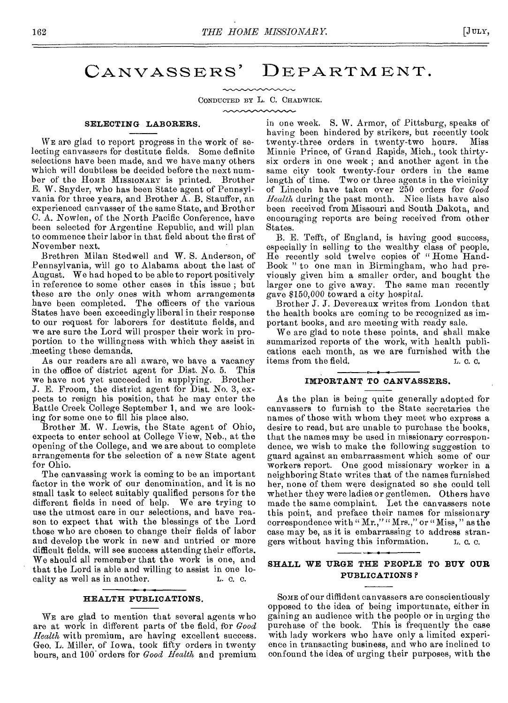## CANVASSERS' DEPARTMENT.

CONDUCTED BY L. C. CHADWICK.

### **SELECTING LABORERS.**

WE are glad to report progress in the work of selecting canvassers for destitute fields. Some definite selections have been made, and we have many others which will doubtless be decided before the next number of the HOME MISSIONARY is printed. Brother E. W. Snyder, who has been State agent of Pennsylvania for three years, and Brother A. B. Stauffer, an experienced canvasser of the same State, and Brother C. A. Nowlen, of the North Pacific Conference, have been selected for Argentine Republic, and will plan to commence their labor in that field about the first of November next.

Brethren Milan Stedwell and W. S. Anderson, of Pennsylvania, will go to Alabama about the last of August. We had hoped to be able to report positively in reference to some other cases in this issue ; but these are the only ones with whom arrangements have been completed. The officers of the various States have been exceedingly liberal in their response to our request for laborers for destitute fields, and we are sure the Lord will prosper their work in proportion to the willingness with which they assist in meeting these demands.

As our readers are all aware, we have a vacancy in the office of district agent for Dist. No. 5. This we have not yet succeeded in supplying. Brother **J.** E. Froom, the district agent for Dist. No. 3, expects to resign his position, that he may enter the Battle Creek College September 1, and we are looking for some one to fill his place also.

Brother M. W. Lewis, the State agent of Ohio, expects to enter school at College View, Neb., at the opening of the College, and we are about to complete arrangements for the selection of a new State agent for Ohio.

The canvassing work is coming to be an important factor in the work of our denomination, and it is no small task to select suitably qualified persons for the different fields in need of help. We are trying to use the utmost care in our selections, and have reason to expect that with the blessings of the Lord those who are chosen to change their fields of labor and develop the work in new and untried or more difficult fields, will see success attending their efforts. We should all remember that the work is one, and that the Lord is able and willing to assist in one locality as well as in another.

#### **HEALTH PUBLICATIONS.**

W<sub>E</sub> are glad to mention that several agents who are at work in different parts of the field, for *Good Health* with premium, are having excellent success. Geo. L. Miller, of Iowa, took fifty orders in twenty hours, and 100-orders for *Good Health* and premium in one week. S. W. Armor, of Pittsburg, speaks of having been hindered by strikers, but recently took<br>twenty-three orders in twenty-two hours. Miss twenty-three orders in twenty-two hours. Minnie Prince, of Grand Rapids, Mich., took thirtysix orders in one week ; and another agent in the same city took twenty-four orders in the same length of time. Two or three agents in the vicinity of Lincoln have taken over 250 orders for *Good Health* during the past month. Nice lists have also been received from Missouri and South Dakota, and encouraging reports are being received from other States.

B. E. Tefft, of England, is having good success, especially in selling to the wealthy class of people. He recently sold twelve copies of " Home Hand-Book " to one man in Birmingham, who had previously given him a smaller order, and bought the larger one to give away. The same man recently gave \$150,000 toward a city hospital.

Brother J. J. Devereaux writes from London that the health books are coming to be recognized as important books, and are meeting with ready sale.

We are glad to note these points, and shall make summarized reports of the work, with health publications each month, as we are furnished with the items from the field.  $\Box$  c. c. items from the field.

#### **IMPORTANT TO CANVASSERS.**

As the plan is being quite generally adopted for canvassers to furnish to the State secretaries the names of those with whom they meet who express a desire to read, but are unable to purchase the books, that the names may be used in missionary correspondence, we wish to make the following suggestion to guard against an embarrassment which some of our workers report. One good missionary worker in a neighboring State writes that of the names furnished her, none of them were designated so she could tell whether they were ladies or gentlemen. Others have made the same complaint. Let the canvassers note this point, and preface their names for missionary correspondence with "Mr.," "Mrs.," or "Miss," as the case may be, as it is embarrassing to address strangers without having this information.  $L. c. c.$ 

#### **SHALL WE URGE THE PEOPLE TO BUY OUR PUBLICATIONS ?**

SOME of our diffident canvassers are conscientiously opposed to the idea of being importunate, either in gaining an audience with the people or in urging the purchase of the book. This is frequently the case with lady workers who have only a limited experience in transacting business, and who are inclined to confound the idea of urging their purposes, with the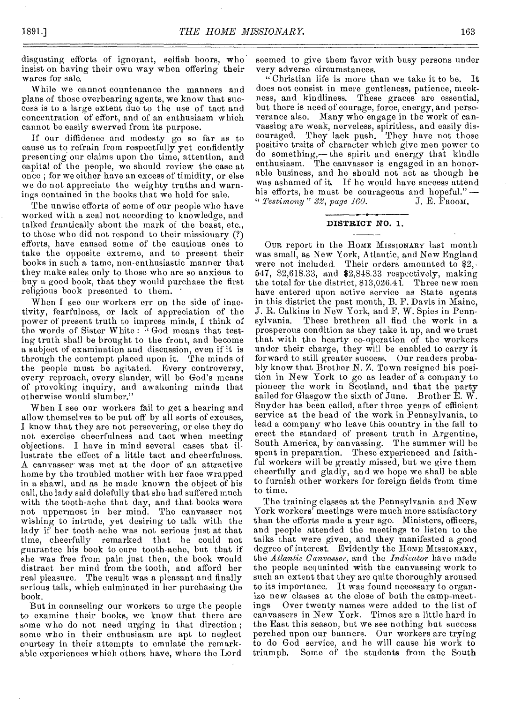disgusting efforts of ignorant, selfish boors, who. insist on having their own way when offering their wares for sale.

While we cannot countenance the manners and plans of those overbearing agents, we know that success is to a large extent duo to the use of tact and concentration of effort, and of an enthusiasm which cannot be easily swerved from its purpose.

If our diffidence and modesty go so far as to cause us to refrain from respectfully yet confidently presenting our claims upon the time, attention, and capital of the people, we should review the case at once ; for we either have an excess of timidity, or else we do not appreciate the weighty truths and warnings contained in the books that we hold for sale.

The unwise efforts of some of our people who have worked with a zeal not according to knowledge, and talked frantically about the mark of the beast, etc., to those who did not respond to their missionary (?) efforts, have caused some of the cautious ones to take the opposite extreme, and to present their books in such a tame, non-enthusiastic manner that they make sales only to those who are so anxious to buy a good book, that they would purchase the first religious book presented to them. '

When I see our workers err on the side of inactivity, fearfulness, or lack of appreciation of the power of present truth to impress minds, I think of the words of Sister White:  $\frac{1}{2}$  God means that testing truth shall be brought to the front, and become a subject of examination and discussion, even if it is through the contempt placed upon it. The minds of the people must be agitated. Every controversy, every reproach, every slander, will be God's means of provoking inquiry, and awakening minds that otherwise would slumber."

When I see our workers fail to get a hearing and allow themselves to be put off by all sorts of excuses, I know that they are not persevering, or else they do not exercise cheerfulness and tact when meeting objections. I have in mind several cases that illustrate the effect of a little tact and cheerfulness. A canvasser was met at the door of an attractive home by the troubled mother with her face wrapped in a shawl, and as he made known the object of his call, the lady said dolefully that she had suffered much with the tooth-ache that day, and that books were not uppermost in her mind. The canvasser not wishing to intrude, yet desiring to talk with the lady if her tooth ache was not serious just at that time, cheerfully remarked that he could not guarantee his book to cure tooth-ache, but that if she was free from pain just then, the book would distract her mind from the tooth, and afford her real pleasure. The result was a pleasant and finally serious talk, which culminated in her purchasing the book.

But in counseling our workers to urge the people to examine their books, we know that there are some who do not need urging in that direction ; some who in their enthusiasm are apt to neglect courtesy in their attempts to emulate the remarkable experiences which others have, where the Lord seemed to give them favor with busy persons under very adverse circumstances.

" Christian life is more than we take it to be. It does not consist in mere gentleness, patience, meekness, and kindliness. These graces are essential, but there is need of' courage, force, energy, and perseverance also. Many who engage in the work of canvassing are weak, nerveless, spiritless, and easily discouraged. They lack push. They have not those positive traits of character which give men power to do something,— the spirit and energy that kindle enthusiasm. The canvasser is engaged in an honorable business, and he should not act as though he was ashamed of it. If he would have success attend his efforts, he must be courageous and hopeful." — " $\frac{1}{T}$ "  $\frac{1}{T}$ "  $\frac{1}{T}$ "  $\frac{1}{T}$ "  $\frac{1}{T}$ "  $\frac{1}{T}$ " " *Testimony*" 32, page 160.

#### DISTRICT NO. 1.

OUR report in the HOME MISSIONARY last month was small, as New York, Atlantic, and New England were not included. Their orders amounted to \$2,- 547, \$2,618.33, and \$2,848.33 respectively, making the total for the district, \$13,026.41. Three new men have entered upon active service as State agents in this district the past month, B. F. Davis in Maine, J. R. Calkins in New York, and F. W. Spies in Pennsylvania. These brethren all find the work in a prosperous condition as they take it up, and we trust that with the hearty co-operation of the workers under their charge, they will be enabled to carry it forward to still greater success. Our readers probably know that Brother N. Z. Town resigned his position in New York to go as leader of a company to pioneer the work in Scotland, and that the party sailed for Glasgow the sixth of June. Brother E. W. Snyder has been called, after three years of efficient service at the head of the work in Pennsylvania, to lead a company who leave this country in the fall to erect the standard of present truth in Argentine, South America, by canvassing. The summer will be spent in preparation. These experienced and faithful workers will be greatly missed, but we give them cheerfully and gladly, and we hope we shall be able to furnish other workers for foreign fields from time to time.

The training classes at the Pennsylvania and New York workers' meetings were much more satisfactory than the efforts made a year ago. Ministers, officers, and people attended the meetings to listen to the talks that were given, and they manifested a good degree of interest. Evidently the HOME MISSIONARY, the *Atlantic Canvasser,* and the *Indicator* have made the people acquainted with the canvassing work to such an extent that they are quite thoroughly aroused to its importance. It was found necessary to organize new classes at the close of both the camp-meetings Over twenty names were added to the list of canvassers in New York. Times are a little hard in the East this season, but we see nothing but success perched upon our banners. Our workers are trying to do God service, and he will cause his work to triumph. Some of the students from the South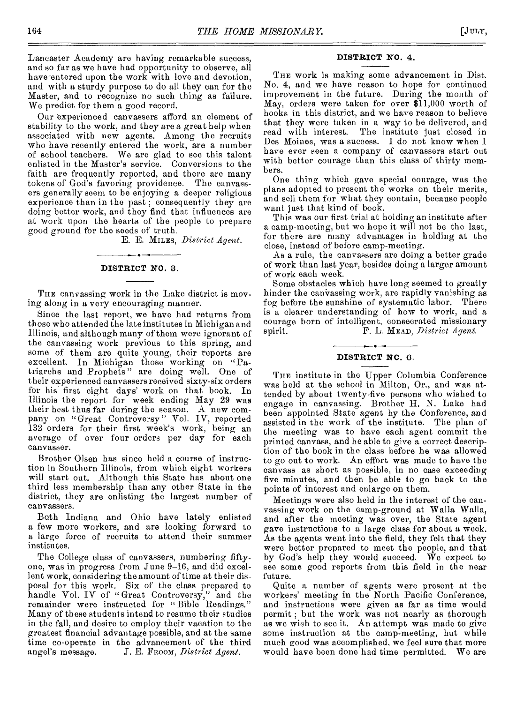Lancaster Academy are having remarkable success, and so far as we have had opportunity to observe, all have entered upon the work with love and devotion, and with a sturdy purpose to do all they can for the Master, and to recognize no such thing as failure. We predict for them a good record.

Our experienced canvassers afford an element of stability to the work, and they are a great help when associated with new agents. Among the recruits who have recently entered the work, are a number of school teachers. We are glad to see this talent enlisted in the Master's service. Conversions to the faith are frequently reported, and there are many tokens of God's favoring providence. The canvassers generally seem to be enjoying a deeper religious experience than in the past ; consequently they are doing better work, and they find that influences are at work upon the hearts of the people to prepare good ground for the seeds of truth.

E. E. MILES, *District Agent.* 

#### مستحدث والمناد **DISTRICT NO. 3.**

THE canvassing work in the Lake district is moving along in a very encouraging manner.

Since the last report, we have had returns from those who attended the late institutes in Michigan and Illinois, and although many of them were ignorant of the canvassing work previous to this spring, and some of them are quite young, their reports are excellent. In Michigan those working on "Patriarchs and Prophets" are doing well. One of their experienced canvassers received sixty-six orders for his first eight days' work on that book. In Illinois the report for week ending May 29 was their best thus far during the season. A new company on "Great Controversy" Vol. IV, reported 132 orders for their first week's work, being an average of over four orders per day for each canvasser.

Brother Olsen has since held a course of instruction in Southern Illinois, from which eight workers will start out. Although this State has about one third less membership than any other State in the district, they are enlisting the largest number of canvassers.

Both Indiana and Ohio have lately enlisted a few more workers, and are looking forward to a large force of recruits to attend their summer institutes.

The College class of canvassers, numbering fiftyone, was in progress from June 9-16, and did excellent work, considering the amount of time at their disposal for this work. Six of the class prepared to handle Vol. IV of "Great Controversy," and the remainder were instructed for " Bible Readings." Many of these students intend to resume their studies in the fall, and desire to employ their vacation to the greatest financial advantage possible, and at the same time co-operate in the advancement of the third<br>angel's message. J. E. Froom, *District Agent*. J. E. Froom, *District Agent*.

#### **DISTRICT NO.** 4.

THE work is making some advancement in Dist. No. 4, and we have reason to hope for continued improvement in the future. During the month of May, orders were taken for over \$11,000 worth of books in this district, and we have reason to believe that they were taken in a way to be delivered, and read with interest. The institute just closed in Des Moines, was a success. I do not know when I have ever seen a company of canvassers start out with better courage than this class of thirty members.

One thing which gave special courage, was the plans adopted to present the works on their merits, and sell them for what they contain, because people want just that kind of book.

This was our first trial at holding an institute after a camp-meeting, but we hope it will not be the last, for there are many advantages in holding at the close, instead of before camp-meeting.

As a rule, the canvassers are doing a better grade of work than last year, besides doing a larger amount of work each week.

Some obstacles which have long seemed to greatly hinder the canvassing work, are rapidly vanishing as fog before the sunshine of systematic labor. There is a clearer understanding of how to work, and a courage born of intelligent, consecrated missionary<br>spirit. F. L. MEAD, District Agent. spirit. P. L. MEAD, *District Agent.* 

### **DISTRICT NO.** 6.

THE institute in the Upper Columbia Conference was held at the school in Milton, Or., and was attended by about twenty-five persons who wished to engage in canvassing. Brother H. N. Lake had been appointed State agent by the Conference, and assisted in the work of the institute. The plan of the meeting was to have each agent commit the printed canvass, and be able to give a correct description of the book in the class before he was allowed to go out to work. An effort was made to have the canvass as short as possible, in no case exceeding five minutes, and then be able to go back to the points of interest and enlarge on them.

Meetings were also held in the interest of the canvassing work on the camp-ground at Walla Walla, and after the meeting was over, the State agent gave instructions to a large class for about a week. As the agents went into the field, they felt that they were better prepared to meet the people, and that by God's help they would succeed. We expect to see some good reports from this field in the near future.

Quite a number of agents were present at the workers' meeting in the North Pacific Conference, and instructions were given as far as time would permit ; but the work was not nearly as thorough as we wish to see it. An attempt was made to give some instruction at the camp-meeting, but while much good was accomplished, we feel sure that more would have been done had time permitted. We are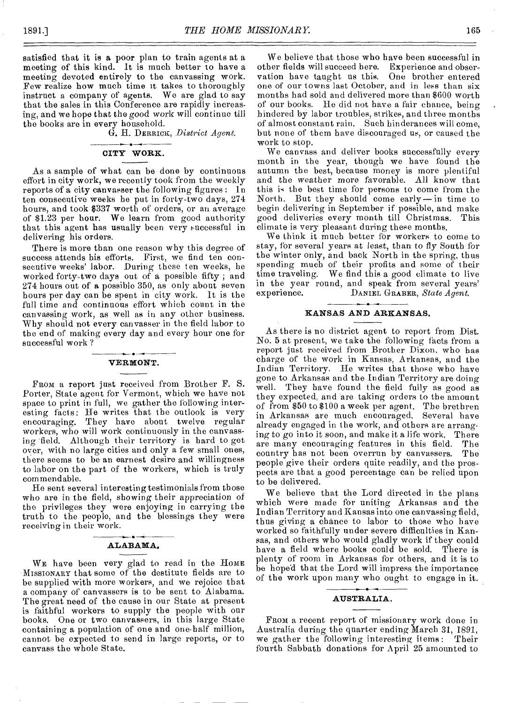satisfied that it is a poor plan to train agents at a meeting of this kind. It is much better to have a meeting devoted entirely to the canvassing work. Few realize how much time it takes to thoroughly instruct a company of agents. We are glad to say that the sales in this Conference are rapidly increasing, and we hope that the good work will continue till the books are in every household.

G. H. DERRICK, *District Agent.* 

#### **CITY WORK.**

As a sample of what can be done by continuous effort in city work, we recently took from the weekly reports of a city canvasser the following figures : In ten consecutive weeks he put in forty-two days, 274 hours, and took \$337 worth of orders, or an average of \$1.23 per hour. We learn from good authority that this agent has usually been very successful in delivering his orders.

There is more than one reason why this degree of success attends his efforts. First, we find ten consecutive weeks' labor. During these ten weeks, he worked forty-two days out of a possible fifty ; and 274 hours out of a possible 350, as only about seven hours per day can be spent in city work. It is the full time and continuous effort which count in the canvassing work, as well as in any other business. Why should not every canvasser in the field labor to the end of making every day and every hour one for successful work ?

#### **VERMONT.**

FROM a report just received from Brother F. S. Porter, State agent for Vermont, which we have not space to print in full, we gather the following interesting facts: He writes that the outlook is very encouraging. They have about twelve regular workers, who will work continuously in the canvassing 'field. Although their territory is hard to get over, with no large cities and only a few small ones, there seems to be an earnest desire and willingness to labor on the part of the workers, which is truly commendable.

He sent several interesting testimonials from those who are in the field, showing their appreciation of the privileges they were enjoying in carrying the truth to the people, and the blessings they were receiving in their work.

#### **• ALABAMA.**

WE have been very glad to read in the HOME MISSIONARY that some of the destitute fields are to be supplied with more workers, and we rejoice that a company of canvassers is to be sent to Alabama. The great need of the cause in our State at present is faithful workers to supply the people with our books. One or two canvassers, in this large State containing a population of one and one-half million, cannot be expected to send in large reports, or to canvass the whole State.

We believe that those who have been successful in other fields will succeed here. Experience and observation have taught us this. One brother entered one of our towns last October, and in less than six months had sold and delivered more than \$600 worth of our books. He did not have a fair chance, being hindered by labor troubles, strikes, and three months of almost constant rain. Such hinderances will come, but none of them have discouraged us, or caused the work to stop.

We canvass and deliver books successfully every month in the year, though we have found the autumn the best, because money is more plentiful and the weather more favorable. All know that this is the best time for persons to come from the North. But they should come early— in time to begin delivering in September if possible, and make good deliveries every month till Christmas. This climate is very pleasant during these months,

We think it much better for workers to come to stay, for several years at least, than to fly South for the winter only, and back North in the spring, thus spending much of their profits and some of their time traveling. We find this a good climate to live in the year round, and speak from several years' experience. DANIEL GRABER, State Agent. DANIEL GRABER, *State Agent.* 

#### **KANSAS AND ARKANSAS.**

As there is no district agent to report from Dist. No. 5 at present, we take the following facts from a report just received from Brother Dixon, who has charge of the work in Kansas, Arkansas, and the Indian Territory. He writes that those who have gone to Arkansas and the Indian Territory are doing well. They have found the field fully as good as they expected, and are taking orders to the amount of from \$50 to \$100 a week per agent. The brethren in Arkansas are much encouraged. Several have already engaged in the work, and others are arranging to go into it soon, and make it a life work. There are many encouraging features in this field. The country has not been overrun by canvassers. The people give their orders quite readily, and the prospects are that a good percentage can be relied upon to be delivered.

We believe that the Lord directed in the plans which were made for uniting Arkansas and the Indian Territory and Kansas into one canvassing field, thus giving a chance to labor to those who have worked so faithfully under severe difficulties in Kansas, and others who would gladly work if they could have a field where books could be sold. There is plenty of room in Arkansas for others, and it is to be hoped that the Lord will impress the importance of the work upon many who ought to engage in it.

#### **AUSTRALIA.**

FROM a recent report of missionary work done in Australia during the quarter ending March 31, 1891, we gather the following interesting items : Their fourth Sabbath donations for April 25 amounted to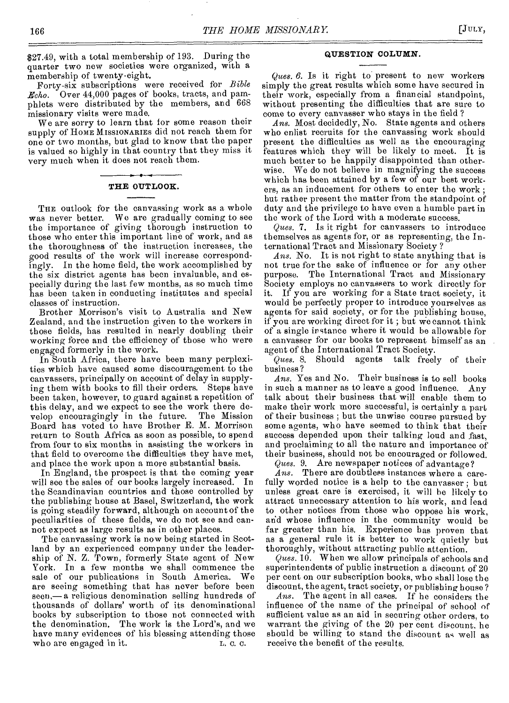\$27.49, with a total membership of 193. During the quarter two new societies were organized, with a membership of twenty-eight.

Forty-six subscriptions were received for *Bible Echo.* Over 44,000 pages of books, tracts, and pamphlets were distributed by the members, and 668 missionary visits were made.

We are sorry to learn that for some reason their supply of HOME MISSIONARIES did not reach them for one or two months, but glad to know that the paper is valued so highly in that country that they miss it very much when it does not reach them.

#### **THE OUTLOOK.**

THE outlook for the canvassing work as a whole was never better. We are gradually coming to see the importance of giving thorough instruction to those who enter this important line of work, and as the thoroughness of the instruction increases, the good results of the work will increase correspondingly. In the home field, the work accomplished by the six district agents has been invaluable, and especially during the last few months, as so much time has been taken in conducting institutes and special classes of instruction.

Brother Morrison's visit to Australia and New Zealand, and the instruction given to the workers in those fields, has resulted in nearly doubling their working force and the efficiency of those who were engaged formerly in the work.

In South Africa, there have been many perplexities which have caused some discouragement to the canvassers, principally on account of delay in supplying them with books to fill their orders. Steps have been taken, however, to guard against a repetition of this delay, and we expect to see the work there develop encouragingly in the future. The Mission Board has voted to have Brother E. M. Morrison return to South Africa as soon as possible, to spend from four to six months in assisting the workers in that field to overcome the difficulties they have met, and place the work upon a more substantial basis.

In England, the prospect is that the coming year will see the sales of our books largely increased. In the Scandinavian countries and those controlled by the publishing house *at* Basel, Switzerland, the work is going steadily forward, although on account of the peculiarities of these fields, we do not see and cannot expect as large results as in other places.

The canvassing work is now being started in Scotland by an experienced company under the leadership of N. Z. Town, formerly State agent of New York. In a few months we shall commence the sale of our publications in South America. We are seeing something that has never before been seen,— a religious denomination selling hundreds of thousands of dollars' worth of its denominational books by subscription to those not connected with the denomination. The work is the Lord's, and we have many evidences of his blessing attending those who are engaged in it.  $\alpha$ ,  $\alpha$ . who are engaged in it.

#### **QUESTION COLUMN.**

*Ques. 6.* Is it right to present to new workers simply the great results which some have secured in their work, especially from a financial standpoint, without presenting the difficulties that are sure to come to every canvasser who stays in the field ?

*Ans.* Most decidedly, No. State agents and others who enlist recruits for the canvassing work should present the difficulties as well as the encouraging features which they will be likely to meet. It is much better to be happily disappointed than otherwise. We do not believe in magnifying the success which has been attained by a few of our best workers, as an inducement for others to enter the work ; but rather present the matter from the standpoint of duty and the privilege to have even a humble part in the work of the Lord with a moderate success.

*Ques.* 7. Is it right for canvassers to introduce themselves as agents for, or as representing, the International Tract and Missionary Society ?

*Ans.* No. It is not right to state anything that is not true for the sake of influence or for any other purpose. The International Tract and Missionary Society employs no canvassers to work directly for it. If you are working for a State tract society, it would be perfectly proper to introduce yourselves as agents for said society, or for the publishing house, if you are working direct for it ; but we cannot think of a single instance where it would be allowable for a canvasser for our books to represent himself as an agent of the International Tract Society.

*Ques.* 8. Should agents talk freely of their business?

*Ans.* Yes and No. Their business is to sell books in such a manner as to leave a good influence. Any talk about their business that will enable them to make their work more successful, is certainly a part of their business ; but the unwise course pursued by some agents, who have seemed to think that their success depended upon their talking loud and fast, and proclaiming to all the nature and importance of their business, should not be encouraged or followed.

*Ques.* 9. Are newspaper notices of advantage?

*Ans.* There are doubtless instances where a carefully worded notice is a help to the canvasser ; but unless great care is exercised, it will be likely to attract unnecessary attention to his work, and lead to other notices from those who oppose his work, arid whose influence in the community would be far greater than his. Experience has proven that as a general rule it is better to work quietly but thoroughly, without attracting public attention.

*Ques.* 10. When we allow principals of schools and superintendents of public instruction a discount of 20 per cent on our subscription books, who shall lose the discount, the agent, tract society, or publishing house ?

*Ans.* The agent in all cases. If he considers the influence of the name of the principal of school of sufficient value as an aid in securing other orders, to warrant the giving of the 20 per cent discount, he should be willing to stand the discount as well as receive the benefit of the results.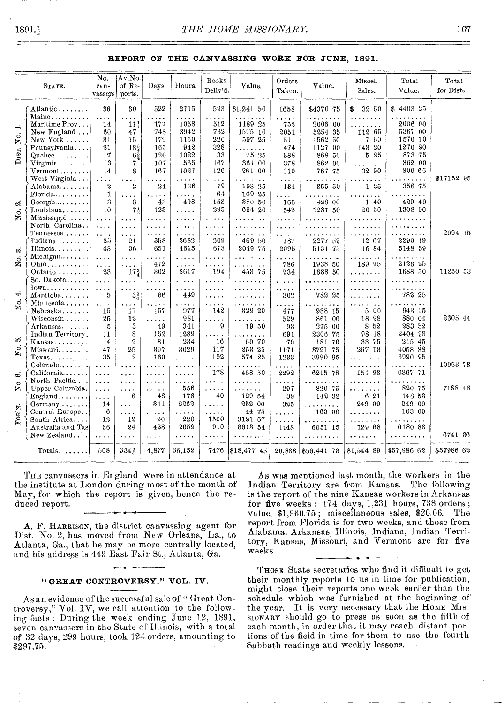#### **REPORT OF THE CANVASSING WORK FOR JUNE, 1891.**

| STATE.   |                                                    | No.<br>can-<br>vassers                     | Av.No. <br>of Re-<br>ports.   | Days.                | Hours.    | <b>Books</b><br>Deliv'd.    | Value.               | Orders<br>Taken. | Value.                      | Miscel.<br>Sales.         | Total<br>Value.           | Total<br>for Dists. |
|----------|----------------------------------------------------|--------------------------------------------|-------------------------------|----------------------|-----------|-----------------------------|----------------------|------------------|-----------------------------|---------------------------|---------------------------|---------------------|
| Atlantic |                                                    | 36                                         | 30                            | 522                  | 2715      | 593                         | \$1,241 50           | 1658             | \$4370 75                   | 32 50<br>\$               | $$4403$ 25                |                     |
| $\div$   | $\mathrm{Maine}\dots\ldots\ldots$<br>Maritime Prov | $\sim 100$ km $^{-1}$<br>14                | .<br>11 <sup>1</sup>          | $\cdots$<br>177      | .<br>1058 | .<br>512                    | .<br>1189 25         | .<br>752         | .<br>2006 00                | .<br>.                    | 2006 00                   |                     |
|          | New England                                        | 60                                         | 47                            | 748                  | 3942      | 732                         | 1575 10              | 2051             | 5254 35                     | 112 65                    | 5367 00                   |                     |
| Xo.      | New York                                           | 31                                         | 15                            | 179                  | 1160      | 220                         | 597 25               | 611              | 1562 50                     | 760                       | 1570 10                   |                     |
|          | Peunsylvania                                       | 21                                         | 13 <sup>3</sup>               | 165                  | 942       | 328                         | .<br>.               | 474              | 1127 00                     | 143 20                    | 1270 20                   |                     |
| DIST.    | $Quebec. \ldots \ldots$                            | $\boldsymbol{7}$                           | $6\frac{3}{4}$                | 120                  | 1022      | 33                          | 75 25                | 388              | 868 50                      | 5 25                      | 873 75                    |                     |
|          | $V$ irginia $\ldots \ldots$                        | 13                                         | 7                             | 107                  | 565       | 167                         | 361 00               | 378              | 862 00                      | .<br>$\ddot{\phantom{1}}$ | 862 00                    |                     |
|          | Vermont                                            | 14                                         | 8                             | 167                  | 1027      | 120                         | 261 00               | 310              | 767 75                      | 32 90                     | 800 65                    |                     |
|          | West Virginia                                      | $\ddotsc$                                  | $\bullet$ $\bullet$ $\bullet$ | .                    | .         | .                           |                      | .                |                             | $\ddot{\phantom{1}}$ .    | $\cdots$                  | \$17152 95          |
|          | Alabama                                            | $\boldsymbol{z}$                           | $\overline{2}$                | 24                   | 136       | 79                          | 193 25               | 134              | 355 50                      | 1 25                      | 356 75                    |                     |
|          | $\mathrm{Florida} \ldots \ldots \ldots$            | 1                                          | .                             | .                    | .         | 64                          | 169 25               | .                | $\cdots$                    | $\ddot{\phantom{a}}$      | .<br>$\sim$ $\sim$ $\sim$ |                     |
| œ.       | $Georgia \ldots$                                   | 3                                          | 3                             | 43                   | 498       | 153                         | 380 50               | 166              | 428 00                      | 1 40                      | 429 40                    |                     |
|          | Louisiaua                                          | 10                                         | 73                            | 123                  | .         | 295                         | 694 20               | 542              | 1287 50                     | 20 50                     | 1308 00                   |                     |
| Хo.      | $M$ ississippi                                     | $\cdots$                                   | $\cdots$                      | $\ldots$             | .         | .                           | .                    | .                | .                           | .                         | .                         |                     |
|          | North Carolina                                     | s a a a                                    | .                             | .                    | .         | .                           | .                    | .                | .                           | .                         | .                         |                     |
|          | $T$ ennessee                                       | $\cdots$                                   | .                             | .                    | .         | .                           | .                    | بالمتعلم         | .                           | .                         | .                         | 2094 15             |
|          | Iudiana                                            | 25                                         | 21                            | 358                  | 2682      | 209                         | 469 50               | 787              | 2277 52                     | $12\,67$                  | 2290 19                   |                     |
| ကံ       | Illinois                                           | 43                                         | 36                            | 651                  | 4615      | 673                         | 2049 75              | 2095             | 5131 75                     | 16 84                     | 5148 59                   |                     |
| Χo.      | Michigan                                           | $\ldots$                                   | .                             | .                    | .         | .                           | .                    | .                | $\mathbf{r}$                | .<br>$\cdots$             | $\cdots$                  |                     |
|          | $Ohio, \ldots, \ldots$ .                           | $\ldots$                                   | $\cdots$                      | 472                  | .         | $\cdots$                    | .                    | 786              | 1933 50                     | 189 75                    | 2123 25                   |                     |
|          | Ontario                                            | 23                                         | $17_{7}^{3}$                  | 302                  | 2617      | 194                         | 453 75               | 734              | 1688 50                     | .                         | 1688 50                   | 11250 53            |
|          | So. Dakota                                         | $\sim 100$                                 | .                             | 1.1.1.1              | .         | $\ldots$ .                  | .                    | $\cdots$         | .                           | . <i>.</i>                | . <u>.</u>                |                     |
|          | $Iowa$                                             | $\cdots$                                   | .                             | $\cdots$             | .         | .                           | .                    | $\cdots$         | $\cdots$                    | .                         | .                         |                     |
| 4        | Manitoba                                           | 5                                          | 3 <sup>3</sup>                | 66                   | 449       | $\cdots$                    | .                    | 302              | 782 25                      | .                         | 782 25                    |                     |
| Χo.      | Minnesota                                          | $\cdots$                                   | .                             | .                    | .         | $\sim$ , $\sim$ , $\sim$    | .                    | .                | $\cdots$<br>.               | .                         | .                         |                     |
|          | Nebraska                                           | 15                                         | 11                            | 157                  | 977       | 142                         | 329 20               | 477              | 938 15                      | 5 00                      | 943 15                    |                     |
|          | Wisconsin $\ldots$ .                               | 25                                         | 12                            | .                    | 981       | $\sim$ $\sim$ $\sim$ $\sim$ | .                    | 529              | 861 06                      | 18 98                     | 880 04                    | 2605 44             |
|          | Arkansas.                                          | 5                                          | 3                             | 49                   | 341       | 9                           | 19 50                | 93               | 275 00                      | 8 52                      | 283 52                    |                     |
| ນລ້      | Indian Territory.                                  | 11                                         | 8                             | 152                  | 1289      | .                           | $\ddotsc$<br>.       | 691              | 2306 75                     | 98 18                     | 2404 93                   |                     |
|          | Kansas                                             | 4                                          | $\mathbf{2}$                  | 31                   | 234       | 16                          | 60 70                | 70               | 181 70                      | 33 75                     | 215 45                    |                     |
| Ź.       | Missouri                                           | 47                                         | 25                            | 397                  | 3029      | 117                         | 253 25               | 1171             | 3791 75                     | 267 13                    | 4058 88                   |                     |
|          | $T$ exas                                           | 35                                         | $\boldsymbol{2}$              | 160                  | .         | 192                         | 574 25               | 1233             | 3990 95                     | .                         | 3990 95                   |                     |
|          | Colorado                                           | $\cdots$                                   | .                             | .                    | .         | .                           | $\cdots$<br>$\cdots$ | .                | $\sim$ . $\sim$<br>$\cdots$ | $\ldots$                  | .                         | 10953 73            |
| 6        | California                                         | $\cdots$                                   | .                             | .                    | .         | 178                         | 468 50               | 2292             | 6215 78                     | 151 93                    | 6367 71                   |                     |
| Χo.      | North Pacific                                      | $\cdots$                                   | .                             | .                    | .         | $\cdots$                    | .                    | .                |                             | .                         | $\ddot{\phantom{1}}$      |                     |
|          | Upper Columbia.                                    | $\ldots$ .                                 | $\cdots$                      | $\cdots$             | 556       | .                           | .                    | 297              | 820 75                      | .                         | 820 75                    | 7188 46             |
|          | England.                                           | $\cdots$                                   | 6                             | 48                   | 176       | 40                          | 129 54               | 39               | 142 32                      | 621                       | 148 53                    |                     |
|          | $Germany \ldots \ldots$                            | 14                                         | .                             | 311                  | 2262      | .                           | 252 00               | 325              | . . <b>.</b>                | 249 00                    | 249 00                    |                     |
|          | Central Europe                                     | 6                                          | .                             | $\sim$ $\sim$ $\sim$ | .         | $\cdots$                    | 44 75                | .                | 163 00                      | .                         | 163 00                    |                     |
| For'n.   | South Africa                                       | 12                                         | 12                            | 20                   | 220       | 1500                        | 3121 67              | .                |                             | .                         | .                         |                     |
|          | Australia and Tas                                  | 36                                         | 24                            | 428                  | 2659      | 910                         | 3613 54              | 1448             | 6051 15                     | 129 68                    | 6180 83                   |                     |
|          | New Zealand                                        | $\mathbf{r}$ , $\mathbf{r}$ , $\mathbf{r}$ | $\cdots$                      | $\cdots$             | .         | .                           | .                    | .                | .                           | .                         | .                         | 6741 36             |
|          | Totals.                                            | 508                                        | 334 <sup>3</sup>              | 4,877                | 36,152    | 7476                        | \$18,477 45          | 20,833           | \$56,441 73                 | \$1,544 89                | \$57,986 62               | \$57986 62          |
|          |                                                    |                                            |                               |                      |           |                             |                      |                  |                             |                           |                           |                     |

THE canvassers in England were in attendance at the institute at London during most of the month of May, for which the report is given, hence the reduced report.

A. F. HARRISON, the district canvassing agent for Dist. No. 2, has moved from New Orleans, La., to Atlanta, Ga., that ho may be more centrally located, and his address is 449 East Fair St., Atlanta, Ga.

#### **" GREAT CONTROVERSY," VOL. IV.**

As an evidence of the successful sale of " Great Controversy," Vol. IV, we call attention to the following facts : During the week ending June 12, 1891, seven canvassers in the State of Illinois, with a total of 32 days, 299 hours, took 124 orders, amounting to \$297.75. •

As was mentioned last month, the workers in the Indian Territory are from Kansas. The following is the report of the nine Kansas workers in Arkansas for five weeks : 174 days, 1,231 hours, 738 orders ; value, \$1,960.75 ; miscellaneous sales, \$26.06. The report from Florida is for two weeks, and those from Alabama, Arkansas, Illinois, Indiana, Indian Territory, Kansas, Missouri, and Vermont are for five weeks.

THOSE State secretaries who find it difficult to get their monthly reports to us in time for publication, might close their reports one week earlier than the schedule which was furnished at the beginning of the year. It is very necessary that the HOME MIS SIONARY should go to press as soon as the fifth of each month, in order that it may reach distant por tions of the field in time for them to use the fourth Sabbath readings and weekly lessons.